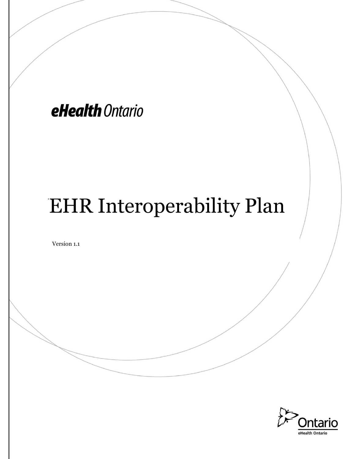# eHealth Ontario

# **EHR Interoperability Plan**

Version 1.1

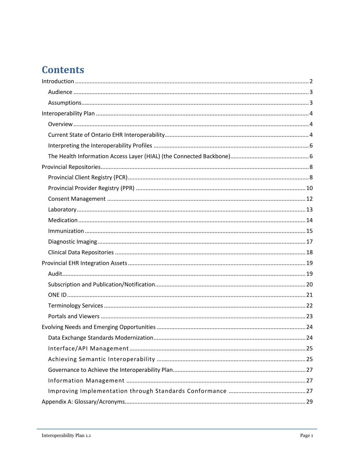# **Contents**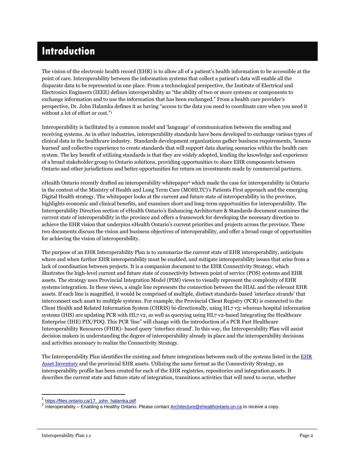# <span id="page-2-0"></span>**Introduction**

The vision of the electronic health record (EHR) is to allow all of a patient's health information to be accessible at the point of care. Interoperability between the information systems that collect a patient's data will enable all the disparate data to be represented in one place. From a technological perspective, the Institute of Electrical and Electronics Engineers (IEEE) defines interoperability as "the ability of two or more systems or components to exchange information and to use the information that has been exchanged." From a health care provider's perspective, Dr. John Halamka defines it as having "access to the data you need to coordinate care when you need it without a lot of effort or cost."<sup>1</sup>

Interoperability is facilitated by a common model and 'language' of communication between the sending and receiving systems. As in other industries, interoperability standards have been developed to exchange various types of clinical data in the healthcare industry. Standards development organizations gather business requirements, 'lessons learned' and collective experience to create standards that will support data sharing scenarios within the health care system. The key benefit of utilizing standards is that they are widely adopted, lending the knowledge and experience of a broad stakeholder group to Ontario solutions, providing opportunities to share EHR components between Ontario and other jurisdictions and better opportunities for return on investments made by commercial partners.

eHealth Ontario recently drafted an interoperability whitepaper<sup>2</sup> which made the case for interoperability in Ontario in the context of the Ministry of Health and Long Term Care (MOHLTC)'s Patients First approach and the emerging Digital Health strategy. The whitepaper looks at the current and future state of interoperability in the province, highlights economic and clinical benefits, and examines short and long-term opportunities for interoperability. The Interoperability Direction section of eHealth Ontario's Enhancing Architecture & Standards document examines the current state of interoperability in the province and offers a framework for developing the necessary direction to achieve the EHR vision that underpins eHealth Ontario's current priorities and projects across the province. These two documents discuss the vision and business objectives of interoperability, and offer a broad range of opportunities for achieving the vision of interoperability.

The purpose of an EHR Interoperability Plan is to summarize the current state of EHR interoperability, anticipate where and when further EHR interoperability must be enabled, and mitigate interoperability issues that arise from a lack of coordination between projects. It is a companion document to the EHR Connectivity Strategy, which illustrates the high-level current and future state of connectivity between point of service (POS) systems and EHR assets. The strategy uses Provincial Integration Model (PIM) views to visually represent the complexity of EHR systems integration. In these views, a single line represents the connection between the HIAL and the relevant EHR assets. If each line is magnified, it would be comprised of multiple, distinct standards-based 'interface strands' that interconnect each asset to multiple systems. For example, the Provincial Client Registry (PCR) is connected to the Client Health and Related Information System (CHRIS) bi-directionally, using HL7 v3: whereas hospital information systems (HIS) are updating PCR with HL7 v2, as well as querying using HL7 v2-based Integrating the Healthcare Enterprise (IHE) PIX/PDQ. This PCR 'line" will change with the introduction of a PCR Fast Healthcare Interoperability Resources (FHIR)- based query 'interface strand'. In this way, the Interoperability Plan will assist decision makers in understanding the degree of interoperability already in place and the interoperability decisions and activities necessary to realize the Connectivity Strategy.

The Interoperability Plan identifies the existing and future integrations between each of the systems listed in the EHR [Asset Inventory](http://www.ehealthontario.on.ca/en/asset-inventory) and the provincial EHR assets. Utilizing the same format as the Connectivity Strategy, an interoperability profile has been created for each of the EHR registries, repositories and integration assets. It describes the current state and future state of integration, transitions activities that will need to occur, whether

l

<sup>&</sup>lt;sup>1</sup> https://files.ontario.ca/17. john\_halamka.pdf

<sup>&</sup>lt;sup>2</sup> Interoperability – Enabling a Healthy Ontario. Please contact [Architecture@ehealthontario.on.ca](mailto:Architecture@ehealthontario.on.ca) to receive a copy.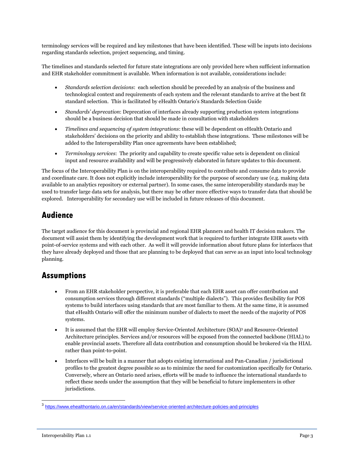terminology services will be required and key milestones that have been identified. These will be inputs into decisions regarding standards selection, project sequencing, and timing.

The timelines and standards selected for future state integrations are only provided here when sufficient information and EHR stakeholder commitment is available. When information is not available, considerations include:

- *Standards selection decisions*: each selection should be preceded by an analysis of the business and technological context and requirements of each system and the relevant standards to arrive at the best fit standard selection. This is facilitated by eHealth Ontario's [Standards Selection Guide](http://www.ehealthontario.on.ca/images/uploads/pages/documents/eHealth_Standards_Selection_Framework_en.pdf)
- *Standards' deprecation*: Deprecation of interfaces already supporting production system integrations should be a business decision that should be made in consultation with stakeholders
- *Timelines and sequencing of system integrations*: these will be dependent on eHealth Ontario and stakeholders' decisions on the priority and ability to establish these integrations. These milestones will be added to the Interoperability Plan once agreements have been established;
- *Terminology services*: The priority and capability to create specific value sets is dependent on clinical input and resource availability and will be progressively elaborated in future updates to this document.

The focus of the Interoperability Plan is on the interoperability required to contribute and consume data to provide and coordinate care. It does not explicitly include interoperability for the purpose of secondary use (e.g. making data available to an analytics repository or external partner). In some cases, the same interoperability standards may be used to transfer large data sets for analysis, but there may be other more effective ways to transfer data that should be explored. Interoperability for secondary use will be included in future releases of this document.

### <span id="page-3-0"></span>**Audience**

The target audience for this document is provincial and regional EHR planners and health IT decision makers. The document will assist them by identifying the development work that is required to further integrate EHR assets with point-of-service systems and with each other. As well it will provide information about future plans for interfaces that they have already deployed and those that are planning to be deployed that can serve as an input into local technology planning.

#### <span id="page-3-1"></span>**Assumptions**

- From an EHR stakeholder perspective, it is preferable that each EHR asset can offer contribution and consumption services through different standards ("multiple dialects"). This provides flexibility for POS systems to build interfaces using standards that are most familiar to them. At the same time, it is assumed that eHealth Ontario will offer the minimum number of dialects to meet the needs of the majority of POS systems.
- It is assumed that the EHR will employ Service-Oriented Architecture (SOA)<sup>3</sup> and Resource-Oriented Architecture principles. Services and/or resources will be exposed from the connected backbone (HIAL) to enable provincial assets. Therefore all data contribution and consumption should be brokered via the HIAL rather than point-to-point.
- Interfaces will be built in a manner that adopts existing international and Pan-Canadian / jurisdictional profiles to the greatest degree possible so as to minimize the need for customization specifically for Ontario. Conversely, where an Ontario need arises, efforts will be made to influence the international standards to reflect these needs under the assumption that they will be beneficial to future implementers in other jurisdictions.

<sup>&</sup>lt;sup>3</sup><br>https://www.ehealthontario.on.ca/en/standards/view/service-oriented-architecture-policies-and-principles<sup>3</sup>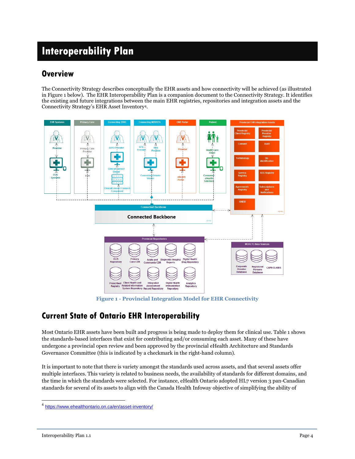# <span id="page-4-0"></span>**Interoperability Plan**

#### <span id="page-4-1"></span>**Overview**

The Connectivity Strategy describes conceptually the EHR assets and how connectivity will be achieved (as illustrated in Figure 1 below). The EHR Interoperability Plan is a companion document to the Connectivity Strategy. It identifies the existing and future integrations between the main EHR registries, repositories and integration assets and the Connectivity Strategy's EHR Asset Inventory<sup>4</sup>.



**Figure 1 - Provincial Integration Model for EHR Connectivity**

### <span id="page-4-2"></span>**Current State of Ontario EHR Interoperability**

Most Ontario EHR assets have been built and progress is being made to deploy them for clinical use. Table 1 shows the standards-based interfaces that exist for contributing and/or consuming each asset. Many of these have undergone a provincial open review and been approved by the provincial eHealth Architecture and Standards Governance Committee (this is indicated by a checkmark in the right-hand column).

It is important to note that there is variety amongst the standards used across assets, and that several assets offer multiple interfaces. This variety is related to business needs, the availability of standards for different domains, and the time in which the standards were selected. For instance, eHealth Ontario adopted HL7 version 3 pan-Canadian standards for several of its assets to align with the Canada Health Infoway objective of simplifying the ability of

 4 https://www.ehealthontario.on.ca/en/asset-inventory/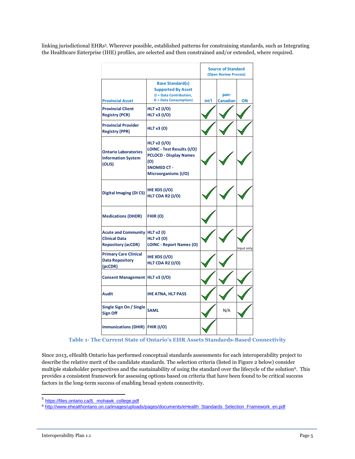linking jurisdictional EHRs<sup>5</sup> . Wherever possible, established patterns for constraining standards, such as Integrating the Healthcare Enterprise (IHE) profiles, are selected and then constrained and/or extended, where required.

|                                                                                 |                                                                                                                                  |       | <b>Source of Standard</b><br>(Open Review Process) |            |
|---------------------------------------------------------------------------------|----------------------------------------------------------------------------------------------------------------------------------|-------|----------------------------------------------------|------------|
| <b>Provincial Asset</b>                                                         | <b>Base Standard(s)</b><br><b>Supported By Asset</b><br>(I = Data Contribution,<br><b>O</b> = Data Consumption)                  | Int'l | pan-<br><b>Canadian</b>                            | ΟN         |
| <b>Provincial Client</b><br><b>Registry (PCR)</b>                               | HL7 v2 (I/O)<br>HL7 v3 (I/O)                                                                                                     |       |                                                    |            |
| <b>Provincial Provider</b><br><b>Registry (PPR)</b>                             | HL7 v3 (O)                                                                                                                       |       |                                                    |            |
| <b>Ontario Laboratories</b><br><b>Information System</b><br>(OLIS)              | HL7 v2 (I/O)<br>LOINC - Test Results (I/O)<br><b>PCLOCD - Display Names</b><br>(O)<br><b>SNOMED CT -</b><br>Microorganisms (I/O) |       |                                                    |            |
| <b>Digital Imaging (DICS)</b>                                                   | IHE XDS (I/O)<br><b>HL7 CDA R2 (I/O)</b>                                                                                         |       |                                                    |            |
| <b>Medications (DHDR)</b>                                                       | FHIR (O)                                                                                                                         |       |                                                    |            |
| <b>Acute and Community</b><br><b>Clinical Data</b><br><b>Repository (acCDR)</b> | HL7 v2 (I)<br>HL7 v3 (O)<br><b>LOINC - Report Names (O)</b>                                                                      |       |                                                    | Input only |
| <b>Primary Care Clinical</b><br><b>Data Repository</b><br>(pcCDR)               | IHE XDS (I/O)<br><b>HL7 CDA R2 (I/O)</b>                                                                                         |       |                                                    |            |
| Consent Management   HL7 v3 (I/O)                                               |                                                                                                                                  |       |                                                    |            |
| <b>Audit</b>                                                                    | <b>IHE ATNA, HL7 PASS</b>                                                                                                        |       |                                                    |            |
| Single Sign On / Single<br><b>Sign Off</b>                                      | <b>SAML</b>                                                                                                                      |       | N/A                                                |            |
| Immunizations (DHIR) FHIR (I/O)                                                 |                                                                                                                                  |       |                                                    |            |

**Table 1- The Current State of Ontario's EHR Assets Standards-Based Connectivity**

Since 2013, eHealth Ontario has performed conceptual standards assessments for each interoperability project to describe the relative merit of the candidate standards. The selection criteria (listed in Figure 2 below) consider multiple stakeholder perspectives and the sustainability of using the standard over the lifecycle of the solution<sup>6</sup>. This provides a consistent framework for assessing options based on criteria that have been found to be critical success factors in the long-term success of enabling broad system connectivity.

<sup>5&</sup>lt;br>[https://files.ontario.ca/8.\\_mohawk\\_college.pdf](https://files.ontario.ca/8._mohawk_college.pdf)

<sup>6</sup> [http://www.ehealthontario.on.ca/images/uploads/pages/documents/eHealth\\_Standards\\_Selection\\_Framework\\_en.pdf](http://www.ehealthontario.on.ca/images/uploads/pages/documents/eHealth_Standards_Selection_Framework_en.pdf)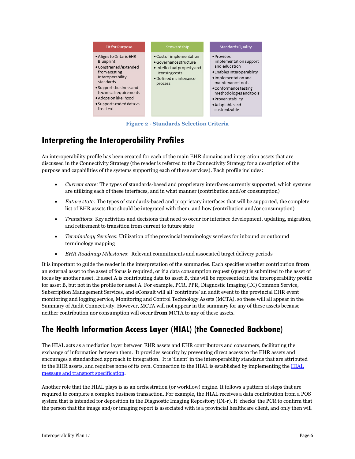

**Figure 2 - Standards Selection Criteria**

### <span id="page-6-0"></span>**Interpreting the Interoperability Profiles**

An interoperability profile has been created for each of the main EHR domains and integration assets that are discussed in the Connectivity Strategy (the reader is referred to the Connectivity Strategy for a description of the purpose and capabilities of the systems supporting each of these services). Each profile includes:

- *Current state:* The types of standards-based and proprietary interfaces currently supported, which systems are utilizing each of these interfaces, and in what manner (contribution and/or consumption)
- *Future state:* The types of standards-based and proprietary interfaces that will be supported, the complete list of EHR assets that should be integrated with them, and how (contribution and/or consumption)
- *Transitions*: Key activities and decisions that need to occur for interface development, updating, migration, and retirement to transition from current to future state
- *Terminology Services*: Utilization of the provincial terminology services for inbound or outbound terminology mapping
- *EHR Roadmap Milestones*: Relevant commitments and associated target delivery periods

It is important to guide the reader in the interpretation of the summaries. Each specifies whether contribution **from** an external asset to the asset of focus is required, or if a data consumption request (query) is submitted to the asset of focus **by** another asset. If asset A is contributing data **to** asset B, this will be represented in the interoperability profile for asset B, but not in the profile for asset A. For example, PCR, PPR, Diagnostic Imaging (DI) Common Service, Subscription Management Services, and eConsult will all 'contribute' an audit event to the provincial EHR event monitoring and logging service, Monitoring and Control Technology Assets (MCTA), so these will all appear in the Summary of Audit Connectivity. However, MCTA will not appear in the summary for any of these assets because neither contribution nor consumption will occur **from** MCTA to any of these assets.

### <span id="page-6-1"></span>**The Health Information Access Layer (HIAL) (the Connected Backbone)**

The HIAL acts as a mediation layer between EHR assets and EHR contributors and consumers, facilitating the exchange of information between them. It provides security by preventing direct access to the EHR assets and encourages a standardized approach to integration. It is 'fluent' in the interoperability standards that are attributed to the EHR assets, and requires none of its own. Connection to the [HIAL](http://www.ehealthontario.on.ca/en/standards/view/hial-transport-message-specification) is established by implementing the HIAL [message and transport specification.](http://www.ehealthontario.on.ca/en/standards/view/hial-transport-message-specification)

Another role that the HIAL plays is as an orchestration (or workflow) engine. It follows a pattern of steps that are required to complete a complex business transaction. For example, the HIAL receives a data contribution from a POS system that is intended for deposition in the Diagnostic Imaging Repository (DI-r). It 'checks' the PCR to confirm that the person that the image and/or imaging report is associated with is a provincial healthcare client, and only then will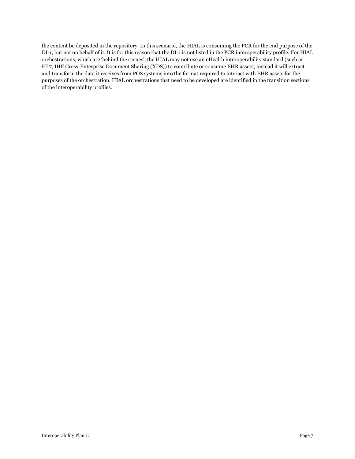the content be deposited in the repository. In this scenario, the HIAL is consuming the PCR for the end purpose of the DI-r, but not on behalf of it. It is for this reason that the DI-r is not listed in the PCR interoperability profile. For HIAL orchestrations, which are 'behind the scenes', the HIAL may not use an eHealth interoperability standard (such as HL7, IHE Cross-Enterprise Document Sharing (XDS)) to contribute or consume EHR assets; instead it will extract and transform the data it receives from POS systems into the format required to interact with EHR assets for the purposes of the orchestration. HIAL orchestrations that need to be developed are identified in the transition sections of the interoperability profiles.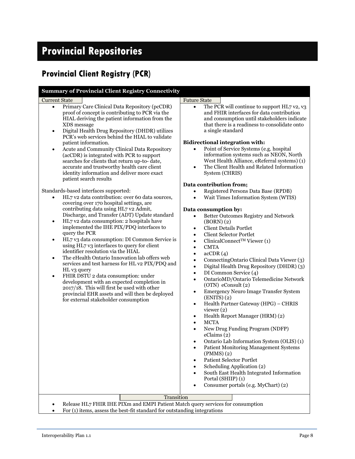# <span id="page-8-0"></span>**Provincial Repositories**

# <span id="page-8-1"></span>**Provincial Client Registry (PCR)**

**Summary of Provincial Client Registry Connectivity**

#### Current State Future State Future State Primary Care Clinical Data Repository (pcCDR) proof of concept is contributing to PCR via the HIAL deriving the patient information from the XDS message Digital Health Drug Repository (DHDR) utilizes PCR's web services behind the HIAL to validate patient information. Acute and Community Clinical Data Repository (acCDR) is integrated with PCR to support searches for clients that return up-to- date, accurate and trustworthy health care client identity information and deliver more exact patient search results Standards-based interfaces supported: HL7 v2 data contribution: over 60 data sources, covering over 170 hospital settings, are

- contributing data using HL7 v2 Admit, Discharge, and Transfer (ADT) Update standard HL7 v2 data consumption: 2 hospitals have
- implemented the IHE PIX/PDQ interfaces to query the PCR
- HL7 v3 data consumption: DI Common Service is using HL7 v3 interfaces to query for client identifier resolution via the HIAL
- The eHealth Ontario Innovation lab offers web services and test harness for HL v2 PIX/PDQ and HL v3 query
- FHIR DSTU 2 data consumption: under development with an expected completion in 2017/18. This will first be used with other provincial EHR assets and will then be deployed for external stakeholder consumption

 The PCR will continue to support HL7 v2, v3 and FHIR interfaces for data contribution and consumption until stakeholders indicate that there is a readiness to consolidate onto a single standard

#### **Bidirectional integration with:**

- Point of Service Systems (e.g. hospital information systems such as NEON, North West Health Alliance, eReferral systems) (1)
- The Client Health and Related Information System (CHRIS)

#### **Data contribution from;**

- Registered Persons Data Base (RPDB)
- Wait Times Information System (WTIS)

#### **Data consumption by:**

- Better Outcomes Registry and Network (BORN) (2)
- Client Details Portlet
- Client Selector Portlet
- ClinicalConnect<sup>TM</sup> Viewer (1)
- CMTA
- $\operatorname{acCDR}(4)$
- ConnectingOntario Clinical Data Viewer (3)
- Digital Health Drug Repository (DHDR) (3)
- DI Common Service (4)
- OntarioMD/Ontario Telemedicine Network (OTN) eConsult (2)
- Emergency Neuro Image Transfer System (ENITS) (2)
- Health Partner Gateway (HPG) CHRIS viewer (2)
- Health Report Manager (HRM) (2)
- MCTA
- New Drug Funding Program (NDFP) eClaims (2)
- Ontario Lab Information System (OLIS) (1)
- Patient Monitoring Management Systems (PMMS) (2)
- Patient Selector Portlet
- Scheduling Application (2)
- South East Health Integrated Information Portal (SHIIP) (1)
- Consumer portals (e.g. MyChart) (2)

**Transition** 

- Release HL7 FHIR IHE PIXm and EMPI Patient Match query services for consumption
- For (1) items, assess the best-fit standard for outstanding integrations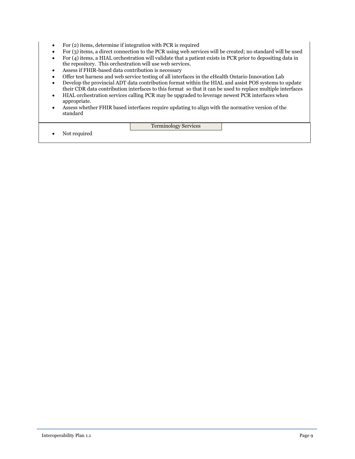- For (2) items, determine if integration with PCR is required
- For (3) items, a direct connection to the PCR using web services will be created; no standard will be used
- For (4) items, a HIAL orchestration will validate that a patient exists in PCR prior to depositing data in the repository. This orchestration will use web services.
- Assess if FHIR-based data contribution is necessary
- Offer test harness and web service testing of all interfaces in the eHealth Ontario Innovation Lab
- Develop the provincial ADT data contribution format within the HIAL and assist POS systems to update their CDR data contribution interfaces to this format so that it can be used to replace multiple interfaces
- HIAL orchestration services calling PCR may be upgraded to leverage newest PCR interfaces when appropriate.
- Assess whether FHIR based interfaces require updating to align with the normative version of the standard

#### Terminology Services

Not required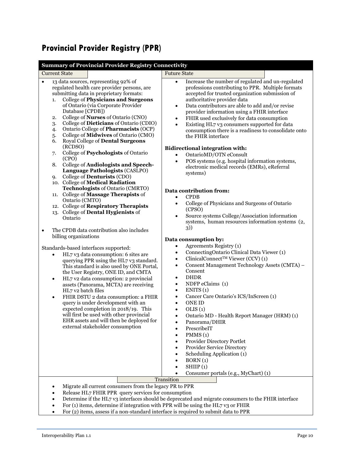# <span id="page-10-0"></span>**Provincial Provider Registry (PPR)**

| <b>Summary of Provincial Provider Registry Connectivity</b>                                                                                                                                                                                                                                                                                                                                                                                                                                                                                                                                                                                                                                                                                                                                                                                          |                                                                                                                                                                                                                                                                                                                                                                                                                                                                                                                                                                                                                                                                                                                                                                                                                                                                                                                          |  |
|------------------------------------------------------------------------------------------------------------------------------------------------------------------------------------------------------------------------------------------------------------------------------------------------------------------------------------------------------------------------------------------------------------------------------------------------------------------------------------------------------------------------------------------------------------------------------------------------------------------------------------------------------------------------------------------------------------------------------------------------------------------------------------------------------------------------------------------------------|--------------------------------------------------------------------------------------------------------------------------------------------------------------------------------------------------------------------------------------------------------------------------------------------------------------------------------------------------------------------------------------------------------------------------------------------------------------------------------------------------------------------------------------------------------------------------------------------------------------------------------------------------------------------------------------------------------------------------------------------------------------------------------------------------------------------------------------------------------------------------------------------------------------------------|--|
| <b>Current State</b>                                                                                                                                                                                                                                                                                                                                                                                                                                                                                                                                                                                                                                                                                                                                                                                                                                 | <b>Future State</b>                                                                                                                                                                                                                                                                                                                                                                                                                                                                                                                                                                                                                                                                                                                                                                                                                                                                                                      |  |
| 13 data sources, representing 92% of<br>$\bullet$<br>regulated health care provider persons, are<br>submitting data in proprietary formats:<br>College of Physicians and Surgeons<br>1.<br>of Ontario (via Corporate Provider<br>Database [CPDB])<br>College of <b>Nurses</b> of Ontario (CNO)<br>2.<br>College of Dieticians of Ontario (CDIO)<br>3.<br>Ontario College of Pharmacists (OCP)<br>4.<br>College of Midwives of Ontario (CMO)<br>5.<br>Royal College of Dental Surgeons<br>6.<br>(RCDSO)<br>College of Psychologists of Ontario<br>7.<br>(CPO)<br>College of Audiologists and Speech-<br>8.<br>Language Pathologists (CASLPO)<br>College of <b>Denturists</b> (CDO)<br>9.<br>10. College of Medical Radiation                                                                                                                          | Increase the number of regulated and un-regulated<br>$\bullet$<br>professions contributing to PPR. Multiple formats<br>accepted for trusted organization submission of<br>authoritative provider data<br>Data contributors are able to add and/or revise<br>$\bullet$<br>provider information using a FHIR interface<br>FHIR used exclusively for data consumption<br>$\bullet$<br>Existing HL7 v3 consumers supported for data<br>$\bullet$<br>consumption there is a readiness to consolidate onto<br>the FHIR interface<br><b>Bidirectional integration with:</b><br>OntarioMD/OTN eConsult<br>$\bullet$<br>POS systems (e.g. hospital information systems,<br>$\bullet$<br>electronic medical records (EMRs), eReferral<br>systems)                                                                                                                                                                                  |  |
| Technologists of Ontario (CMRTO)                                                                                                                                                                                                                                                                                                                                                                                                                                                                                                                                                                                                                                                                                                                                                                                                                     | Data contribution from:                                                                                                                                                                                                                                                                                                                                                                                                                                                                                                                                                                                                                                                                                                                                                                                                                                                                                                  |  |
| 11. College of Massage Therapists of<br>Ontario (CMTO)<br>12. College of Respiratory Therapists<br>13. College of Dental Hygienists of<br>Ontario<br>The CPDB data contribution also includes<br>$\bullet$<br>billing organizations<br>Standards-based interfaces supported:<br>HL7 v3 data consumption: 6 sites are<br>$\bullet$<br>querying PPR using the HL7 v3 standard.<br>This standard is also used by ONE Portal,<br>the User Registry, ONE ID, and CMTA<br>HL7 v2 data consumption: 2 provincial<br>$\bullet$<br>assets (Panorama, MCTA) are receiving<br>HL7 v2 batch files<br>FHIR DSTU 2 data consumption: a FHIR<br>$\bullet$<br>query is under development with an<br>expected completion in 2018/19. This<br>will first be used with other provincial<br>EHR assets and will then be deployed for<br>external stakeholder consumption | <b>CPDB</b><br>$\bullet$<br>College of Physicians and Surgeons of Ontario<br>$\bullet$<br>(CPSO)<br>Source systems College/Association information<br>$\bullet$<br>systems, human resources information systems (2,<br>3)<br>Data consumption by:<br>Agreements Registry (1)<br>$\bullet$<br>ConnectingOntario Clinical Data Viewer (1)<br>$\bullet$<br>ClinicalConnect <sup>TM</sup> Viewer (CCV) (1)<br>$\bullet$<br>Consent Management Technology Assets (CMTA) -<br>$\bullet$<br>Consent<br><b>DHDR</b><br>$\bullet$<br>NDFP eClaims (1)<br>$\bullet$<br>ENITS(1)<br>$\bullet$<br>Cancer Care Ontario's ICS/InScreen (1)<br>$\bullet$<br><b>ONE ID</b><br>$\bullet$<br>OLIS(1)<br>$\bullet$<br>Ontario MD - Health Report Manager (HRM) (1)<br>$\bullet$<br>Panorama/DHIR<br>PrescribeIT<br>PMMS(1)<br>Provider Directory Portlet<br>Provider Service Directory<br>Scheduling Application (1)<br>BORN(1)<br>SHIIP(1) |  |
|                                                                                                                                                                                                                                                                                                                                                                                                                                                                                                                                                                                                                                                                                                                                                                                                                                                      | Consumer portals (e.g., MyChart) (1)                                                                                                                                                                                                                                                                                                                                                                                                                                                                                                                                                                                                                                                                                                                                                                                                                                                                                     |  |
| Transition<br>Migrate all current consumers from the legacy PR to PPR<br>Release HL7 FHIR PPR query services for consumption<br>Determine if the HL7 v3 interfaces should be deprecated and migrate consumers to the FHIR interface<br>$n_{\rm BH} = 11.1$                                                                                                                                                                                                                                                                                                                                                                                                                                                                                                                                                                                           |                                                                                                                                                                                                                                                                                                                                                                                                                                                                                                                                                                                                                                                                                                                                                                                                                                                                                                                          |  |

 For (1) items, determine if integration with PPR will be using the HL7 v3 or FHIR For (2) items, assess if a non-standard interface is required to submit data to PPR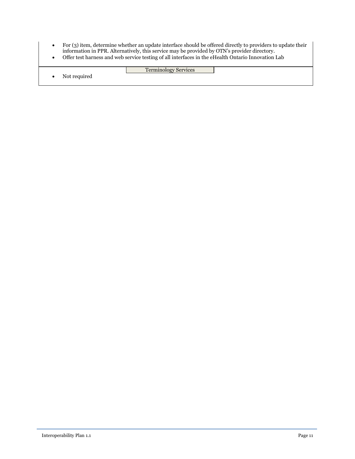- For (3) item, determine whether an update interface should be offered directly to providers to update their information in PPR. Alternatively, this service may be provided by OTN's provider directory.
- Offer test harness and web service testing of all interfaces in the eHealth Ontario Innovation Lab

<span id="page-11-0"></span>Terminology Services Not required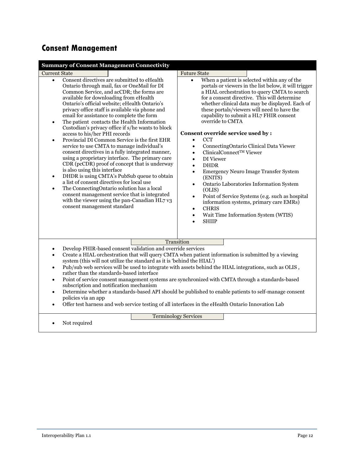# **Consent Management**

| <b>Summary of Consent Management Connectivity</b>                                                                                                                                                                                                                                                                                                                                                                                                                                                                                                                                                                                                                                                                                                                                                                                                                                                                                                                                                                                                                                                          |                                                                                                                                                                                                                                                                                                                                                                                                                                                                                                                                                                                                                                                                                                                                                                                                                                                                                                                                                   |  |
|------------------------------------------------------------------------------------------------------------------------------------------------------------------------------------------------------------------------------------------------------------------------------------------------------------------------------------------------------------------------------------------------------------------------------------------------------------------------------------------------------------------------------------------------------------------------------------------------------------------------------------------------------------------------------------------------------------------------------------------------------------------------------------------------------------------------------------------------------------------------------------------------------------------------------------------------------------------------------------------------------------------------------------------------------------------------------------------------------------|---------------------------------------------------------------------------------------------------------------------------------------------------------------------------------------------------------------------------------------------------------------------------------------------------------------------------------------------------------------------------------------------------------------------------------------------------------------------------------------------------------------------------------------------------------------------------------------------------------------------------------------------------------------------------------------------------------------------------------------------------------------------------------------------------------------------------------------------------------------------------------------------------------------------------------------------------|--|
| <b>Current State</b>                                                                                                                                                                                                                                                                                                                                                                                                                                                                                                                                                                                                                                                                                                                                                                                                                                                                                                                                                                                                                                                                                       | <b>Future State</b>                                                                                                                                                                                                                                                                                                                                                                                                                                                                                                                                                                                                                                                                                                                                                                                                                                                                                                                               |  |
| Consent directives are submitted to eHealth<br>$\bullet$<br>Ontario through mail, fax or OneMail for DI<br>Common Service, and acCDR; the forms are<br>available for downloading from eHealth<br>Ontario's official website; eHealth Ontario's<br>privacy office staff is available via phone and<br>email for assistance to complete the form<br>The patient contacts the Health Information<br>$\bullet$<br>Custodian's privacy office if s/he wants to block<br>access to his/her PHI records<br>Provincial DI Common Service is the first EHR<br>$\bullet$<br>service to use CMTA to manage individual's<br>consent directives in a fully integrated manner,<br>using a proprietary interface. The primary care<br>CDR (pcCDR) proof of concept that is underway<br>is also using this interface<br>DHDR is using CMTA's PubSub queue to obtain<br>$\bullet$<br>a list of consent directives for local use<br>The ConnectingOntario solution has a local<br>$\bullet$<br>consent management service that is integrated<br>with the viewer using the pan-Canadian HL7 v3<br>consent management standard | When a patient is selected within any of the<br>$\bullet$<br>portals or viewers in the list below, it will trigger<br>a HIAL orchestration to query CMTA to search<br>for a consent directive. This will determine<br>whether clinical data may be displayed. Each of<br>these portals/viewers will need to have the<br>capability to submit a HL7 FHIR consent<br>override to CMTA<br>Consent override service used by:<br><b>CCT</b><br>$\bullet$<br>ConnectingOntario Clinical Data Viewer<br>$\bullet$<br>ClinicalConnect™ Viewer<br>$\bullet$<br>DI Viewer<br>$\bullet$<br><b>DHDR</b><br>$\bullet$<br><b>Emergency Neuro Image Transfer System</b><br>$\bullet$<br>(ENITS)<br>Ontario Laboratories Information System<br>(OLIS)<br>Point of Service Systems (e.g. such as hospital<br>$\bullet$<br>information systems, primary care EMRs)<br><b>CHRIS</b><br>$\bullet$<br>Wait Time Information System (WTIS)<br>$\bullet$<br><b>SHIIP</b> |  |
| Transition                                                                                                                                                                                                                                                                                                                                                                                                                                                                                                                                                                                                                                                                                                                                                                                                                                                                                                                                                                                                                                                                                                 |                                                                                                                                                                                                                                                                                                                                                                                                                                                                                                                                                                                                                                                                                                                                                                                                                                                                                                                                                   |  |
| Develop FHIR-based consent validation and override services<br>٠<br>Create a HIAL orchestration that will query CMTA when patient information is submitted by a viewing<br>$\bullet$<br>system (this will not utilize the standard as it is 'behind the HIAL')<br>Pub/sub web services will be used to integrate with assets behind the HIAL integrations, such as OLIS,<br>$\bullet$<br>rather than the standards-based interface<br>Point of service consent management systems are synchronized with CMTA through a standards-based<br>$\bullet$<br>subscription and notification mechanism<br>Determine whether a standards-based API should be published to enable patients to self-manage consent<br>$\bullet$<br>policies via an app<br>Offer test harness and web service testing of all interfaces in the eHealth Ontario Innovation Lab<br>$\bullet$                                                                                                                                                                                                                                             |                                                                                                                                                                                                                                                                                                                                                                                                                                                                                                                                                                                                                                                                                                                                                                                                                                                                                                                                                   |  |
|                                                                                                                                                                                                                                                                                                                                                                                                                                                                                                                                                                                                                                                                                                                                                                                                                                                                                                                                                                                                                                                                                                            | <b>Terminology Services</b>                                                                                                                                                                                                                                                                                                                                                                                                                                                                                                                                                                                                                                                                                                                                                                                                                                                                                                                       |  |
| Not required                                                                                                                                                                                                                                                                                                                                                                                                                                                                                                                                                                                                                                                                                                                                                                                                                                                                                                                                                                                                                                                                                               |                                                                                                                                                                                                                                                                                                                                                                                                                                                                                                                                                                                                                                                                                                                                                                                                                                                                                                                                                   |  |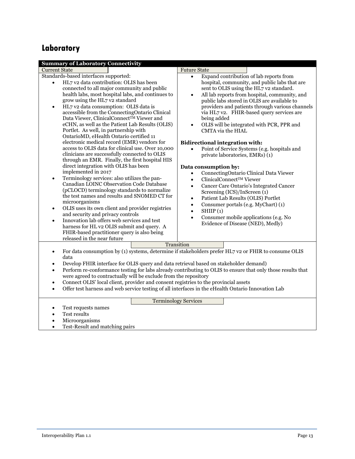# <span id="page-13-0"></span>**Laboratory**

| <b>Summary of Laboratory Connectivity</b>                                                                                                                                                                                                                                                                                                                                                                                                                                                                                                                                                                                                                                                                                                                                                                                                                                                                                                                                                                                                                                                                                                                                                                                                                                                                    |                                                                                                                                                                                                                                                                                                                                                                                                                                                                                                                                                                                                                                                                                                                                                                                                                                                                                                                                                                                                                                                 |  |
|--------------------------------------------------------------------------------------------------------------------------------------------------------------------------------------------------------------------------------------------------------------------------------------------------------------------------------------------------------------------------------------------------------------------------------------------------------------------------------------------------------------------------------------------------------------------------------------------------------------------------------------------------------------------------------------------------------------------------------------------------------------------------------------------------------------------------------------------------------------------------------------------------------------------------------------------------------------------------------------------------------------------------------------------------------------------------------------------------------------------------------------------------------------------------------------------------------------------------------------------------------------------------------------------------------------|-------------------------------------------------------------------------------------------------------------------------------------------------------------------------------------------------------------------------------------------------------------------------------------------------------------------------------------------------------------------------------------------------------------------------------------------------------------------------------------------------------------------------------------------------------------------------------------------------------------------------------------------------------------------------------------------------------------------------------------------------------------------------------------------------------------------------------------------------------------------------------------------------------------------------------------------------------------------------------------------------------------------------------------------------|--|
| <b>Current State</b>                                                                                                                                                                                                                                                                                                                                                                                                                                                                                                                                                                                                                                                                                                                                                                                                                                                                                                                                                                                                                                                                                                                                                                                                                                                                                         | <b>Future State</b>                                                                                                                                                                                                                                                                                                                                                                                                                                                                                                                                                                                                                                                                                                                                                                                                                                                                                                                                                                                                                             |  |
| Standards-based interfaces supported:<br>HL7 v2 data contribution: OLIS has been<br>$\bullet$<br>connected to all major community and public<br>health labs, most hospital labs, and continues to<br>grow using the HL7 v2 standard<br>HL7 v2 data consumption: OLIS data is<br>$\bullet$<br>accessible from the ConnectingOntario Clinical<br>Data Viewer, ClinicalConnect <sup>TM</sup> Viewer and<br>eCHN, as well as the Patient Lab Results (OLIS)<br>Portlet. As well, in partnership with<br>OntarioMD, eHealth Ontario certified 11<br>electronic medical record (EMR) vendors for<br>access to OLIS data for clinical use. Over 10,000<br>clinicians are successfully connected to OLIS<br>through an EMR. Finally, the first hospital HIS<br>direct integration with OLIS has been<br>implemented in 2017<br>Terminology services: also utilizes the pan-<br>$\bullet$<br>Canadian LOINC Observation Code Database<br>(pCLOCD) terminology standards to normalize<br>the test names and results and SNOMED CT for<br>microorganisms<br>OLIS uses its own client and provider registries<br>$\bullet$<br>and security and privacy controls<br>Innovation lab offers web services and test<br>$\bullet$<br>harness for HL v2 OLIS submit and query. A<br>FHIR-based practitioner query is also being | Expand contribution of lab reports from<br>$\bullet$<br>hospital, community, and public labs that are<br>sent to OLIS using the HL7 v2 standard.<br>All lab reports from hospital, community, and<br>$\bullet$<br>public labs stored in OLIS are available to<br>providers and patients through various channels<br>via HL7 v2. FHIR-based query services are<br>being added<br>OLIS will be integrated with PCR, PPR and<br>$\bullet$<br>CMTA via the HIAL<br><b>Bidirectional integration with:</b><br>Point of Service Systems (e.g. hospitals and<br>$\bullet$<br>private laboratories, EMRs) (1)<br>Data consumption by:<br>ConnectingOntario Clinical Data Viewer<br>$\bullet$<br>ClinicalConnect™ Viewer<br>$\bullet$<br>Cancer Care Ontario's Integrated Cancer<br>$\bullet$<br>Screening (ICS)/InScreen (1)<br>Patient Lab Results (OLIS) Portlet<br>$\bullet$<br>Consumer portals (e.g. MyChart) (1)<br>$\bullet$<br>SHIIP(1)<br>$\bullet$<br>Consumer mobile applications (e.g. No<br>$\bullet$<br>Evidence of Disease (NED), Medly) |  |
| released in the near future                                                                                                                                                                                                                                                                                                                                                                                                                                                                                                                                                                                                                                                                                                                                                                                                                                                                                                                                                                                                                                                                                                                                                                                                                                                                                  |                                                                                                                                                                                                                                                                                                                                                                                                                                                                                                                                                                                                                                                                                                                                                                                                                                                                                                                                                                                                                                                 |  |
| Transition<br>For data consumption by (1) systems, determine if stakeholders prefer HL7 v2 or FHIR to consume OLIS<br>$\bullet$<br>data<br>Develop FHIR interface for OLIS query and data retrieval based on stakeholder demand)<br>$\bullet$<br>Perform re-conformance testing for labs already contributing to OLIS to ensure that only those results that<br>$\bullet$<br>were agreed to contractually will be exclude from the repository<br>Connect OLIS' local client, provider and consent registries to the provincial assets<br>$\bullet$<br>Offer test harness and web service testing of all interfaces in the eHealth Ontario Innovation Lab<br>$\bullet$                                                                                                                                                                                                                                                                                                                                                                                                                                                                                                                                                                                                                                        |                                                                                                                                                                                                                                                                                                                                                                                                                                                                                                                                                                                                                                                                                                                                                                                                                                                                                                                                                                                                                                                 |  |
| <b>Terminology Services</b><br>Test requests names<br>Test results<br>$\bullet$                                                                                                                                                                                                                                                                                                                                                                                                                                                                                                                                                                                                                                                                                                                                                                                                                                                                                                                                                                                                                                                                                                                                                                                                                              |                                                                                                                                                                                                                                                                                                                                                                                                                                                                                                                                                                                                                                                                                                                                                                                                                                                                                                                                                                                                                                                 |  |

- <span id="page-13-1"></span>Microorganisms
- Test-Result and matching pairs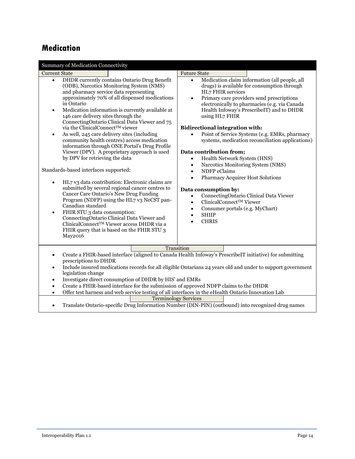### <span id="page-14-0"></span>**Medication**

| <b>Summary of Medication Connectivity</b>                                                                                                                                                                                                                                                                                                                                                                                                                                                                                                                                                                                                                                                                                                                                                                                                                                                                                                                                                                                                                                                                                                  |                                                                                                                                                                                                                                                                                                                                                                                                                                                                                                                                                                                                                                                                                                                                                                                                                                                                                                        |  |
|--------------------------------------------------------------------------------------------------------------------------------------------------------------------------------------------------------------------------------------------------------------------------------------------------------------------------------------------------------------------------------------------------------------------------------------------------------------------------------------------------------------------------------------------------------------------------------------------------------------------------------------------------------------------------------------------------------------------------------------------------------------------------------------------------------------------------------------------------------------------------------------------------------------------------------------------------------------------------------------------------------------------------------------------------------------------------------------------------------------------------------------------|--------------------------------------------------------------------------------------------------------------------------------------------------------------------------------------------------------------------------------------------------------------------------------------------------------------------------------------------------------------------------------------------------------------------------------------------------------------------------------------------------------------------------------------------------------------------------------------------------------------------------------------------------------------------------------------------------------------------------------------------------------------------------------------------------------------------------------------------------------------------------------------------------------|--|
| <b>Current State</b>                                                                                                                                                                                                                                                                                                                                                                                                                                                                                                                                                                                                                                                                                                                                                                                                                                                                                                                                                                                                                                                                                                                       | <b>Future State</b>                                                                                                                                                                                                                                                                                                                                                                                                                                                                                                                                                                                                                                                                                                                                                                                                                                                                                    |  |
| DHDR currently contains Ontario Drug Benefit<br>$\bullet$<br>(ODB), Narcotics Monitoring System (NMS)<br>and pharmacy service data representing<br>approximately 70% of all dispensed medications<br>in Ontario<br>Medication information is currently available at<br>$\bullet$<br>146 care delivery sites through the<br>ConnectingOntario Clinical Data Viewer and 75<br>via the ClinicalConnect™ viewer<br>As well, 245 care delivery sites (including<br>$\bullet$<br>community health centres) access medication<br>information through ONE Portal's Drug Profile<br>Viewer (DPV). A proprietary approach is used<br>by DPV for retrieving the data<br>Standards-based interfaces supported:<br>HL7 v3 data contribution: Electronic claims are<br>$\bullet$<br>submitted by several regional cancer centres to<br>Cancer Care Ontario's New Drug Funding<br>Program (NDFP) using the HL7 v3 NeCST pan-<br>Canadian standard<br>FHIR STU 3 data consumption:<br>$\bullet$<br>ConnectingOntario Clinical Data Viewer and<br>ClinicalConnect™ Viewer access DHDR via a<br>FHIR query that is based on the FHIR STU 3<br><b>May2016</b> | Medication claim information (all people, all<br>$\bullet$<br>drugs) is available for consumption through<br>HL7 FHIR services<br>Primary care providers send prescriptions<br>$\bullet$<br>electronically to pharmacies (e.g. via Canada<br>Health Infoway's PrescribeIT) and to DHDR<br>using HL7 FHIR<br><b>Bidirectional integration with:</b><br>Point of Service Systems (e.g. EMRs, pharmacy<br>systems, medication reconciliation applications)<br>Data contribution from;<br>Health Network System (HNS)<br>$\bullet$<br>Narcotics Monitoring System (NMS)<br>$\bullet$<br>NDFP eClaims<br>$\bullet$<br><b>Pharmacy Acquirer Host Solutions</b><br>$\bullet$<br>Data consumption by:<br>ConnectingOntario Clinical Data Viewer<br>$\bullet$<br>ClinicalConnect™ Viewer<br>$\bullet$<br>Consumer portals (e.g. MyChart)<br>$\bullet$<br><b>SHIIP</b><br>$\bullet$<br><b>CHRIS</b><br>$\bullet$ |  |
|                                                                                                                                                                                                                                                                                                                                                                                                                                                                                                                                                                                                                                                                                                                                                                                                                                                                                                                                                                                                                                                                                                                                            |                                                                                                                                                                                                                                                                                                                                                                                                                                                                                                                                                                                                                                                                                                                                                                                                                                                                                                        |  |
| Transition<br>Create a FHIR-based interface (aligned to Canada Health Infoway's PrescribeIT initiative) for submitting<br>٠<br>prescriptions to DHDR<br>Include insured medications records for all eligible Ontarians 24 years old and under to support government<br>$\bullet$<br>legislation change<br>Investigate direct consumption of DHDR by HIS' and EMRs<br>$\bullet$<br>Create a FHIR-based interface for the submission of approved NDFP claims to the DHDR<br>$\bullet$                                                                                                                                                                                                                                                                                                                                                                                                                                                                                                                                                                                                                                                        |                                                                                                                                                                                                                                                                                                                                                                                                                                                                                                                                                                                                                                                                                                                                                                                                                                                                                                        |  |
| Offer test harness and web service testing of all interfaces in the eHealth Ontario Innovation Lab<br>$\bullet$                                                                                                                                                                                                                                                                                                                                                                                                                                                                                                                                                                                                                                                                                                                                                                                                                                                                                                                                                                                                                            |                                                                                                                                                                                                                                                                                                                                                                                                                                                                                                                                                                                                                                                                                                                                                                                                                                                                                                        |  |
| <b>Terminology Services</b><br>$\tau$ $c$<br>$\mathcal{L}$ $\mathcal{L}$<br>$\mathbf{r}$ $\mathbf{r}$ $\mathbf{r}$ $\mathbf{r}$ $\mathbf{r}$<br>$(T0 T0 T1 T1 T1 T2 T3 T4 T5 T6 T7$<br>$\mathbf{1} \cdot \mathbf{2} \cdot \mathbf{3}$<br>$\cdots$<br>$\cdot$ $\cdot$ $\cdot$                                                                                                                                                                                                                                                                                                                                                                                                                                                                                                                                                                                                                                                                                                                                                                                                                                                               |                                                                                                                                                                                                                                                                                                                                                                                                                                                                                                                                                                                                                                                                                                                                                                                                                                                                                                        |  |

Translate Ontario-specific Drug Information Number (DIN-PIN) (outbound) into recognized drug names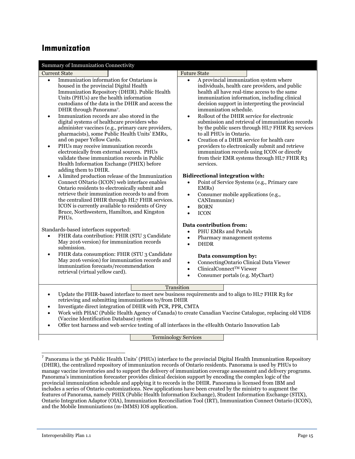#### <span id="page-15-0"></span>**Immunization**

| Summary of Immunization Connectivity                                                                                                                                                                                                                                                                                                                                                                                                                                                                                                                                                                                                                                                                                                                    |                                                                                                                                                                                                                                                                                                                                                                                                                                                                                                                                                                                                                                                                                                          |
|---------------------------------------------------------------------------------------------------------------------------------------------------------------------------------------------------------------------------------------------------------------------------------------------------------------------------------------------------------------------------------------------------------------------------------------------------------------------------------------------------------------------------------------------------------------------------------------------------------------------------------------------------------------------------------------------------------------------------------------------------------|----------------------------------------------------------------------------------------------------------------------------------------------------------------------------------------------------------------------------------------------------------------------------------------------------------------------------------------------------------------------------------------------------------------------------------------------------------------------------------------------------------------------------------------------------------------------------------------------------------------------------------------------------------------------------------------------------------|
| <b>Current State</b>                                                                                                                                                                                                                                                                                                                                                                                                                                                                                                                                                                                                                                                                                                                                    | <b>Future State</b>                                                                                                                                                                                                                                                                                                                                                                                                                                                                                                                                                                                                                                                                                      |
| Immunization information for Ontarians is<br>$\bullet$<br>housed in the provincial Digital Health<br>Immunization Repository (DHIR). Public Health<br>Units (PHUs) are the health information<br>custodians of the data in the DHIR and access the<br>DHIR through Panorama7.<br>Immunization records are also stored in the<br>$\bullet$<br>digital systems of healthcare providers who<br>administer vaccines (e.g., primary care providers,<br>pharmacists), some Public Health Units' EMRs,<br>and on paper Yellow Cards.<br>PHUs may receive immunization records<br>$\bullet$<br>electronically from external sources. PHUs<br>validate these immunization records in Public<br>Health Information Exchange (PHIX) before<br>adding them to DHIR. | A provincial immunization system where<br>$\bullet$<br>individuals, health care providers, and public<br>health all have real-time access to the same<br>immunization information, including clinical<br>decision support in interpreting the provincial<br>immunization schedule.<br>Rollout of the DHIR service for electronic<br>$\bullet$<br>submission and retrieval of immunization records<br>by the public users through HL7 FHIR R3 services<br>to all PHUs in Ontario.<br>Creation of a DHIR service for health care<br>$\bullet$<br>providers to electronically submit and retrieve<br>immunization records using ICON or directly<br>from their EMR systems through HL7 FHIR R3<br>services. |
| A limited production release of the Immunization<br>$\bullet$<br>Connect ONtario (ICON) web interface enables<br>Ontario residents to electronically submit and<br>retrieve their immunization records to and from<br>the centralized DHIR through HL7 FHIR services.<br>ICON is currently available to residents of Grey<br>Bruce, Northwestern, Hamilton, and Kingston<br>PHU <sub>s</sub> .                                                                                                                                                                                                                                                                                                                                                          | <b>Bidirectional integration with:</b><br>Point of Service Systems (e.g., Primary care<br>$\bullet$<br>EMR <sub>s</sub> )<br>Consumer mobile applications (e.g.,<br>$\bullet$<br>CANImmunize)<br><b>BORN</b><br>$\bullet$<br><b>ICON</b>                                                                                                                                                                                                                                                                                                                                                                                                                                                                 |
| Standards-based interfaces supported:<br>FHIR data contribution: FHIR (STU 3 Candidate<br>$\bullet$<br>May 2016 version) for immunization records<br>submission.<br>FHIR data consumption: FHIR (STU 3 Candidate<br>$\bullet$<br>May 2016 version) for immunization records and<br>immunization forecasts/recommendation<br>retrieval (virtual yellow card).                                                                                                                                                                                                                                                                                                                                                                                            | Data contribution from:<br><b>PHU EMRs and Portals</b><br>$\bullet$<br>Pharmacy management systems<br>$\bullet$<br><b>DHDR</b><br>$\bullet$<br>Data consumption by:<br>ConnectingOntario Clinical Data Viewer<br>$\bullet$<br>ClinicalConnect™ Viewer<br>$\bullet$<br>Consumer portals (e.g. MyChart)<br>$\bullet$                                                                                                                                                                                                                                                                                                                                                                                       |
| Transition<br>Update the FHIR-based interface to meet new business requirements and to align to HL7 FHIR R3 for<br>$\bullet$<br>retrieving and submitting immunizations to/from DHIR<br>Investigate direct integration of DHIR with PCR, PPR, CMTA<br>$\bullet$<br>Work with PHAC (Public Health Agency of Canada) to create Canadian Vaccine Catalogue, replacing old VIDS<br>$\bullet$<br>(Vaccine Identification Database) system<br>Offer test harness and web service testing of all interfaces in the eHealth Ontario Innovation Lab<br>$\bullet$<br><b>Terminology Services</b>                                                                                                                                                                  |                                                                                                                                                                                                                                                                                                                                                                                                                                                                                                                                                                                                                                                                                                          |

Terminology Services  $\mathcal{L}(\mathcal{L}^{\mathcal{L}})$  and  $\mathcal{L}^{\mathcal{L}}$ 

 7 Panorama is the 36 Public Health Units' (PHUs) interface to the provincial Digital Health Immunization Repository (DHIR), the centralized repository of immunization records of Ontario residents. Panorama is used by PHUs to manage vaccine inventories and to support the delivery of immunization coverage assessment and delivery programs. Panorama's immunization forecaster provides clinical decision support by encoding the complex logic of the provincial immunization schedule and applying it to records in the DHIR. Panorama is licensed from IBM and includes a series of Ontario customizations. New applications have been created by the ministry to augment the features of Panorama, namely PHIX (Public Health Information Exchange), Student Information Exchange (STIX), Ontario Integration Adaptor (OIA), Immunization Reconciliation Tool (IRT), Immunization Connect Ontario (ICON), and the Mobile Immunizations (m-IMMS) IOS application.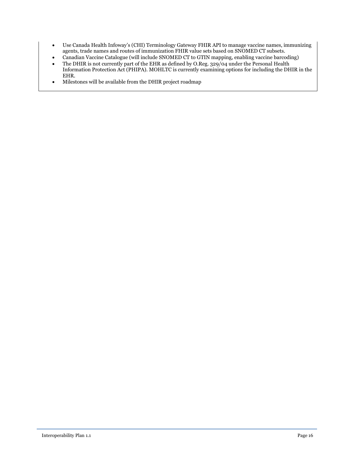- Use Canada Health Infoway's (CHI) Terminology Gateway FHIR API to manage vaccine names, immunizing agents, trade names and routes of immunization FHIR value sets based on SNOMED CT subsets.
- Canadian Vaccine Catalogue (will include SNOMED CT to GTIN mapping, enabling vaccine barcoding)
- $\bullet$  The DHIR is not currently part of the EHR as defined by O.Reg. 329/04 under the Personal Health Information Protection Act (PHIPA). MOHLTC is currently examining options for including the DHIR in the EHR.
- Milestones will be available from the DHIR project roadmap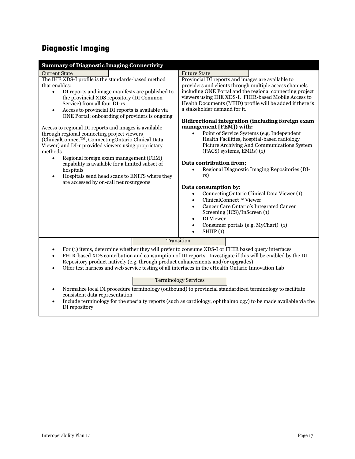# <span id="page-17-0"></span>**Diagnostic Imaging**

| <b>Summary of Diagnostic Imaging Connectivity</b>                                                                                                                                                                                                                                                                                                                                                                                                                                                                                                                                                                                                                                                                                                                                                                         |            |                                                                                                                                                                                                                                                 |                                                                                                                                                                                                                                                                                                                                                                                                                                                                                                                                                                                                                                                                                                                                                                       |
|---------------------------------------------------------------------------------------------------------------------------------------------------------------------------------------------------------------------------------------------------------------------------------------------------------------------------------------------------------------------------------------------------------------------------------------------------------------------------------------------------------------------------------------------------------------------------------------------------------------------------------------------------------------------------------------------------------------------------------------------------------------------------------------------------------------------------|------------|-------------------------------------------------------------------------------------------------------------------------------------------------------------------------------------------------------------------------------------------------|-----------------------------------------------------------------------------------------------------------------------------------------------------------------------------------------------------------------------------------------------------------------------------------------------------------------------------------------------------------------------------------------------------------------------------------------------------------------------------------------------------------------------------------------------------------------------------------------------------------------------------------------------------------------------------------------------------------------------------------------------------------------------|
| <b>Current State</b><br>The IHE XDS-I profile is the standards-based method<br>that enables:<br>DI reports and image manifests are published to<br>$\bullet$<br>the provincial XDS repository (DI Common<br>Service) from all four DI-rs<br>Access to provincial DI reports is available via<br>$\bullet$<br>ONE Portal; onboarding of providers is ongoing<br>Access to regional DI reports and images is available<br>through regional connecting project viewers<br>(ClinicalConnect™, ConnectingOntario Clinical Data<br>Viewer) and DI-r provided viewers using proprietary<br>methods<br>Regional foreign exam management (FEM)<br>$\bullet$<br>capability is available for a limited subset of<br>hospitals<br>Hospitals send head scans to ENITS where they<br>$\bullet$<br>are accessed by on-call neurosurgeons |            | <b>Future State</b><br>a stakeholder demand for it.<br>management [FEM]) with:<br>$\bullet$<br>Data contribution from;<br>rs)<br>Data consumption by:<br>$\bullet$<br>$\bullet$<br>$\bullet$<br>DI Viewer<br>$\bullet$<br>$\bullet$<br>SHIIP(1) | Provincial DI reports and images are available to<br>providers and clients through multiple access channels<br>including ONE Portal and the regional connecting project<br>viewers using IHE XDS-I. FHIR-based Mobile Access to<br>Health Documents (MHD) profile will be added if there is<br>Bidirectional integration (including foreign exam<br>Point of Service Systems (e.g. Independent<br>Health Facilities, hospital-based radiology<br>Picture Archiving And Communications System<br>(PACS) systems, EMRs) (1)<br>Regional Diagnostic Imaging Repositories (DI-<br>ConnectingOntario Clinical Data Viewer (1)<br>ClinicalConnect™ Viewer<br>Cancer Care Ontario's Integrated Cancer<br>Screening (ICS)/InScreen (1)<br>Consumer portals (e.g. MyChart) (1) |
| $\bullet$                                                                                                                                                                                                                                                                                                                                                                                                                                                                                                                                                                                                                                                                                                                                                                                                                 | Transition |                                                                                                                                                                                                                                                 |                                                                                                                                                                                                                                                                                                                                                                                                                                                                                                                                                                                                                                                                                                                                                                       |
| For (1) items, determine whether they will prefer to consume XDS-I or FHIR based query interfaces<br>FHIR-based XDS contribution and consumption of DI reports. Investigate if this will be enabled by the DI<br>$\bullet$<br>Repository product natively (e.g. through product enhancements and/or upgrades)<br>Offer test harness and web service testing of all interfaces in the eHealth Ontario Innovation Lab                                                                                                                                                                                                                                                                                                                                                                                                       |            |                                                                                                                                                                                                                                                 |                                                                                                                                                                                                                                                                                                                                                                                                                                                                                                                                                                                                                                                                                                                                                                       |
|                                                                                                                                                                                                                                                                                                                                                                                                                                                                                                                                                                                                                                                                                                                                                                                                                           |            | <b>Terminology Services</b>                                                                                                                                                                                                                     |                                                                                                                                                                                                                                                                                                                                                                                                                                                                                                                                                                                                                                                                                                                                                                       |

- <span id="page-17-1"></span> Normalize local DI procedure terminology (outbound) to provincial standardized terminology to facilitate consistent data representation
- Include terminology for the specialty reports (such as cardiology, ophthalmology) to be made available via the DI repository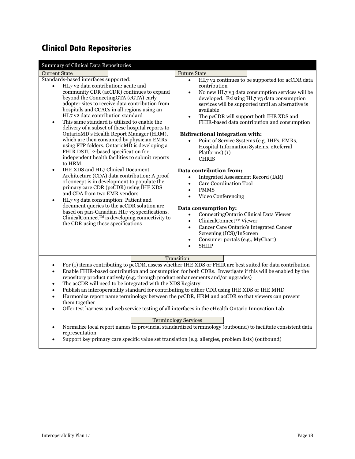# <span id="page-18-0"></span>**Clinical Data Repositories**

<span id="page-18-1"></span>

| Summary of Clinical Data Repositories                                                                                                                                                                                                                                                                                                                                                                                                                                                                                                                                                                                                                                                                                                                                                                                                                                                                                                                                                                                                                                                                                                                    |                                                                                                                                                                                                                                                                                                                                                                                                                                                                                                                                                                                                                                                                                                                                                                                                                                                                                                                                                                                          |  |  |
|----------------------------------------------------------------------------------------------------------------------------------------------------------------------------------------------------------------------------------------------------------------------------------------------------------------------------------------------------------------------------------------------------------------------------------------------------------------------------------------------------------------------------------------------------------------------------------------------------------------------------------------------------------------------------------------------------------------------------------------------------------------------------------------------------------------------------------------------------------------------------------------------------------------------------------------------------------------------------------------------------------------------------------------------------------------------------------------------------------------------------------------------------------|------------------------------------------------------------------------------------------------------------------------------------------------------------------------------------------------------------------------------------------------------------------------------------------------------------------------------------------------------------------------------------------------------------------------------------------------------------------------------------------------------------------------------------------------------------------------------------------------------------------------------------------------------------------------------------------------------------------------------------------------------------------------------------------------------------------------------------------------------------------------------------------------------------------------------------------------------------------------------------------|--|--|
| <b>Current State</b>                                                                                                                                                                                                                                                                                                                                                                                                                                                                                                                                                                                                                                                                                                                                                                                                                                                                                                                                                                                                                                                                                                                                     | <b>Future State</b>                                                                                                                                                                                                                                                                                                                                                                                                                                                                                                                                                                                                                                                                                                                                                                                                                                                                                                                                                                      |  |  |
| Standards-based interfaces supported:<br>HL7 v2 data contribution: acute and<br>community CDR (acCDR) continues to expand<br>beyond the ConnectingGTA (cGTA) early<br>adopter sites to receive data contribution from<br>hospitals and CCACs in all regions using an<br>HL7 v2 data contribution standard<br>This same standard is utilized to enable the<br>$\bullet$<br>delivery of a subset of these hospital reports to<br>OntarioMD's Health Report Manager (HRM),<br>which are then consumed by physician EMRs<br>using FTP folders. OntarioMD is developing a<br>FHIR DSTU 2-based specification for<br>independent health facilities to submit reports<br>to HRM.<br><b>IHE XDS</b> and HL7 Clinical Document<br>$\bullet$<br>Architecture (CDA) data contribution: A proof<br>of concept is in development to populate the<br>primary care CDR (pcCDR) using IHE XDS<br>and CDA from two EMR vendors<br>HL7 v3 data consumption: Patient and<br>$\bullet$<br>document queries to the acCDR solution are<br>based on pan-Canadian HL7 v3 specifications.<br>ClinicalConnect™ is developing connectivity to<br>the CDR using these specifications | HL7 v2 continues to be supported for acCDR data<br>$\bullet$<br>contribution<br>No new HL7 v3 data consumption services will be<br>$\bullet$<br>developed. Existing HL7 v3 data consumption<br>services will be supported until an alternative is<br>available<br>The pcCDR will support both IHE XDS and<br>$\bullet$<br>FHIR-based data contribution and consumption<br><b>Bidirectional integration with:</b><br>Point of Service Systems (e.g. IHFs, EMRs,<br>Hospital Information Systems, eReferral<br>Platforms) (1)<br><b>CHRIS</b><br>Data contribution from;<br>Integrated Assessment Record (IAR)<br><b>Care Coordination Tool</b><br>$\bullet$<br><b>PMMS</b><br>$\bullet$<br>Video Conferencing<br>$\bullet$<br>Data consumption by:<br>ConnectingOntario Clinical Data Viewer<br>$\bullet$<br>ClinicalConnect™ Viewer<br>$\bullet$<br>Cancer Care Ontario's Integrated Cancer<br>$\bullet$<br>Screening (ICS)/InScreen<br>Consumer portals (e.g., MyChart)<br><b>SHIIP</b> |  |  |
|                                                                                                                                                                                                                                                                                                                                                                                                                                                                                                                                                                                                                                                                                                                                                                                                                                                                                                                                                                                                                                                                                                                                                          | Transition                                                                                                                                                                                                                                                                                                                                                                                                                                                                                                                                                                                                                                                                                                                                                                                                                                                                                                                                                                               |  |  |
| For (1) items contributing to pcCDR, assess whether IHE XDS or FHIR are best suited for data contribution<br>$\bullet$<br>Enable FHIR-based contribution and consumption for both CDRs. Investigate if this will be enabled by the<br>$\bullet$<br>repository product natively (e.g. through product enhancements and/or upgrades)<br>The acCDR will need to be integrated with the XDS Registry<br>٠<br>Publish an interoperability standard for contributing to either CDR using IHE XDS or IHE MHD<br>$\bullet$<br>Harmonize report name terminology between the pcCDR, HRM and acCDR so that viewers can present<br>$\bullet$<br>them together<br>Offer test harness and web service testing of all interfaces in the eHealth Ontario Innovation Lab<br>$\bullet$                                                                                                                                                                                                                                                                                                                                                                                    |                                                                                                                                                                                                                                                                                                                                                                                                                                                                                                                                                                                                                                                                                                                                                                                                                                                                                                                                                                                          |  |  |
| <b>Terminology Services</b>                                                                                                                                                                                                                                                                                                                                                                                                                                                                                                                                                                                                                                                                                                                                                                                                                                                                                                                                                                                                                                                                                                                              |                                                                                                                                                                                                                                                                                                                                                                                                                                                                                                                                                                                                                                                                                                                                                                                                                                                                                                                                                                                          |  |  |
| Normalize local report names to provincial standardized terminology (outbound) to facilitate consistent data<br>$\bullet$<br>representation<br>Support key primary care specific value set translation (e.g. allergies, problem lists) (outbound)                                                                                                                                                                                                                                                                                                                                                                                                                                                                                                                                                                                                                                                                                                                                                                                                                                                                                                        |                                                                                                                                                                                                                                                                                                                                                                                                                                                                                                                                                                                                                                                                                                                                                                                                                                                                                                                                                                                          |  |  |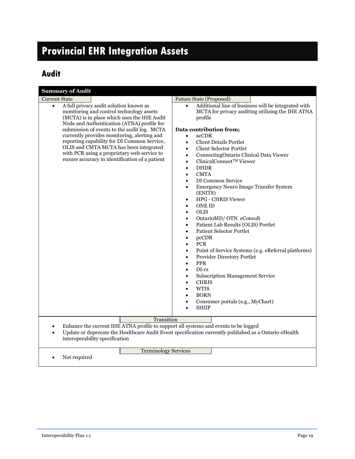# <span id="page-19-0"></span>**Provincial EHR Integration Assets**

# <span id="page-19-1"></span>**Audit**

| <b>Summary of Audit</b>                                                                                                                                                                                                                                                                                                                                                                                                                                                                                      |                                                                                                                                                                                                                                                                                                                                                                                                                                                                                                                                                                                                                                                                                                                                                                                                                                                                                                                                                                                                                                                                          |
|--------------------------------------------------------------------------------------------------------------------------------------------------------------------------------------------------------------------------------------------------------------------------------------------------------------------------------------------------------------------------------------------------------------------------------------------------------------------------------------------------------------|--------------------------------------------------------------------------------------------------------------------------------------------------------------------------------------------------------------------------------------------------------------------------------------------------------------------------------------------------------------------------------------------------------------------------------------------------------------------------------------------------------------------------------------------------------------------------------------------------------------------------------------------------------------------------------------------------------------------------------------------------------------------------------------------------------------------------------------------------------------------------------------------------------------------------------------------------------------------------------------------------------------------------------------------------------------------------|
| <b>Current State</b><br>A full privacy audit solution known as<br>$\bullet$<br>monitoring and control technology assets<br>(MCTA) is in place which uses the IHE Audit<br>Node and Authentication (ATNA) profile for<br>submission of events to the audit log. MCTA<br>currently provides monitoring, alerting and<br>reporting capability for DI Common Service,<br>OLIS and CMTA MCTA has been integrated<br>with PCR using a proprietary web service to<br>ensure accuracy in identification of a patient | <b>Future State (Proposed)</b><br>Additional line of business will be integrated with<br>$\bullet$<br>MCTA for privacy auditing utilizing the IHE ATNA<br>profile<br>Data contribution from;<br>acCDR<br>$\bullet$<br><b>Client Details Portlet</b><br>$\bullet$<br><b>Client Selector Portlet</b><br>ConnectingOntario Clinical Data Viewer<br>$\bullet$<br>ClinicalConnect™ Viewer<br>$\bullet$<br><b>DHDR</b><br>$\bullet$<br><b>CMTA</b><br>$\bullet$<br>DI Common Service<br>$\bullet$<br>Emergency Neuro Image Transfer System<br>(ENITS)<br>HPG - CHRIS Viewer<br><b>ONE ID</b><br><b>OLIS</b><br>$\bullet$<br>OntarioMD/ OTN eConsult<br>Patient Lab Results (OLIS) Portlet<br>$\bullet$<br><b>Patient Selector Portlet</b><br>$\bullet$<br>pcCDR<br>$\bullet$<br><b>PCR</b><br>$\bullet$<br>Point of Service Systems (e.g. eReferral platforms)<br>$\bullet$<br>Provider Directory Portlet<br><b>PPR</b><br>$DI-rs$<br><b>Subscription Management Service</b><br><b>CHRIS</b><br><b>WTIS</b><br><b>BORN</b><br>Consumer portals (e.g., MyChart)<br><b>SHIIP</b> |
| Transition<br>Enhance the current IHE ATNA profile to support all systems and events to be logged<br>$\bullet$<br>Update or deprecate the Healthcare Audit Event specification currently published as a Ontario eHealth<br>interoperability specification                                                                                                                                                                                                                                                    |                                                                                                                                                                                                                                                                                                                                                                                                                                                                                                                                                                                                                                                                                                                                                                                                                                                                                                                                                                                                                                                                          |
| <b>Terminology Services</b><br>Not required<br>$\bullet$                                                                                                                                                                                                                                                                                                                                                                                                                                                     |                                                                                                                                                                                                                                                                                                                                                                                                                                                                                                                                                                                                                                                                                                                                                                                                                                                                                                                                                                                                                                                                          |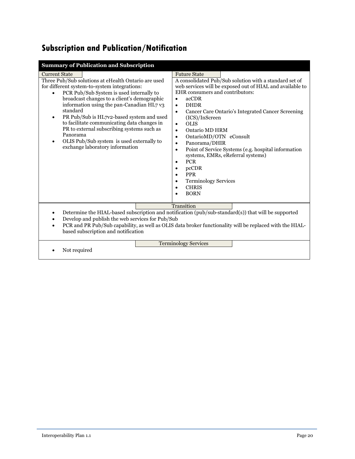# <span id="page-20-0"></span>**Subscription and Publication/Notification**

| <b>Summary of Publication and Subscription</b>                                                                                                                                                                                                                                                                                                                                                                                                                                                                                                               |                                                                                                                                                                                                                                                                                                                                                                                                                                                                                                                                                                                                                                                                                                                     |
|--------------------------------------------------------------------------------------------------------------------------------------------------------------------------------------------------------------------------------------------------------------------------------------------------------------------------------------------------------------------------------------------------------------------------------------------------------------------------------------------------------------------------------------------------------------|---------------------------------------------------------------------------------------------------------------------------------------------------------------------------------------------------------------------------------------------------------------------------------------------------------------------------------------------------------------------------------------------------------------------------------------------------------------------------------------------------------------------------------------------------------------------------------------------------------------------------------------------------------------------------------------------------------------------|
| <b>Current State</b><br>Three Pub/Sub solutions at eHealth Ontario are used<br>for different system-to-system integrations:<br>PCR Pub/Sub System is used internally to<br>$\bullet$<br>broadcast changes to a client's demographic<br>information using the pan-Canadian HL7 v3<br>standard<br>PR Pub/Sub is HL7v2-based system and used<br>$\bullet$<br>to facilitate communicating data changes in<br>PR to external subscribing systems such as<br>Panorama<br>OLIS Pub/Sub system is used externally to<br>$\bullet$<br>exchange laboratory information | <b>Future State</b><br>A consolidated Pub/Sub solution with a standard set of<br>web services will be exposed out of HIAL and available to<br>EHR consumers and contributors:<br>acCDR<br>$\bullet$<br><b>DHDR</b><br>$\bullet$<br>Cancer Care Ontario's Integrated Cancer Screening<br>$\bullet$<br>(ICS)/InScreen<br><b>OLIS</b><br>$\bullet$<br>Ontario MD HRM<br>$\bullet$<br>OntarioMD/OTN eConsult<br>$\bullet$<br>Panorama/DHIR<br>$\bullet$<br>Point of Service Systems (e.g. hospital information<br>$\bullet$<br>systems, EMRs, eReferral systems)<br><b>PCR</b><br>$\bullet$<br>pcCDR<br><b>PPR</b><br><b>Terminology Services</b><br>$\bullet$<br><b>CHRIS</b><br>$\bullet$<br><b>BORN</b><br>$\bullet$ |
| Transition<br>Determine the HIAL-based subscription and notification (pub/sub-standard(s)) that will be supported<br>٠<br>Develop and publish the web services for Pub/Sub<br>$\bullet$<br>PCR and PR Pub/Sub capability, as well as OLIS data broker functionality will be replaced with the HIAL-<br>$\bullet$<br>based subscription and notification                                                                                                                                                                                                      |                                                                                                                                                                                                                                                                                                                                                                                                                                                                                                                                                                                                                                                                                                                     |
| Not required                                                                                                                                                                                                                                                                                                                                                                                                                                                                                                                                                 | <b>Terminology Services</b>                                                                                                                                                                                                                                                                                                                                                                                                                                                                                                                                                                                                                                                                                         |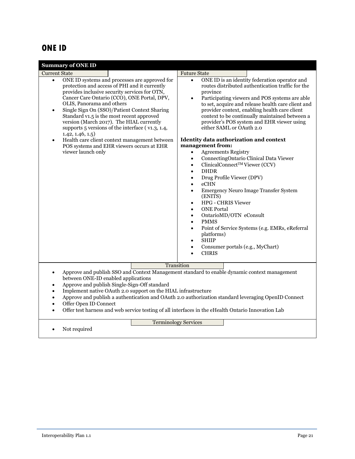#### <span id="page-21-0"></span>**ONE ID**

| <b>Summary of ONE ID</b>                                                                                                                                                                                                                                                                                                                                                                                                                                                                                                                                                                                                        |                                                                                                                                                                                                                                                                                                                                                                                                                                                                                                                                                                                                                                                                                                                                                                                                                                                                                                                                                                                                                                                                                                                                                                         |  |
|---------------------------------------------------------------------------------------------------------------------------------------------------------------------------------------------------------------------------------------------------------------------------------------------------------------------------------------------------------------------------------------------------------------------------------------------------------------------------------------------------------------------------------------------------------------------------------------------------------------------------------|-------------------------------------------------------------------------------------------------------------------------------------------------------------------------------------------------------------------------------------------------------------------------------------------------------------------------------------------------------------------------------------------------------------------------------------------------------------------------------------------------------------------------------------------------------------------------------------------------------------------------------------------------------------------------------------------------------------------------------------------------------------------------------------------------------------------------------------------------------------------------------------------------------------------------------------------------------------------------------------------------------------------------------------------------------------------------------------------------------------------------------------------------------------------------|--|
| <b>Current State</b><br>ONE ID systems and processes are approved for<br>$\bullet$<br>protection and access of PHI and it currently<br>provides inclusive security services for OTN,<br>Cancer Care Ontario (CCO), ONE Portal, DPV,<br>OLIS, Panorama and others<br>Single Sign On (SSO)/Patient Context Sharing<br>$\bullet$<br>Standard v1.5 is the most recent approved<br>version (March 2017). The HIAL currently<br>supports 5 versions of the interface (v1.3, 1.4,<br>1.42, 1.46, 1.5)<br>Health care client context management between<br>$\bullet$<br>POS systems and EHR viewers occurs at EHR<br>viewer launch only | <b>Future State</b><br>ONE ID is an identity federation operator and<br>$\bullet$<br>routes distributed authentication traffic for the<br>province<br>Participating viewers and POS systems are able<br>$\bullet$<br>to set, acquire and release health care client and<br>provider context, enabling health care client<br>context to be continually maintained between a<br>provider's POS system and EHR viewer using<br>either SAML or OAuth 2.0<br><b>Identity data authorization and context</b><br>management from:<br><b>Agreements Registry</b><br>$\bullet$<br>ConnectingOntario Clinical Data Viewer<br>$\bullet$<br>ClinicalConnect™ Viewer (CCV)<br>$\bullet$<br><b>DHDR</b><br>$\bullet$<br>Drug Profile Viewer (DPV)<br>$\bullet$<br>eCHN<br>$\bullet$<br><b>Emergency Neuro Image Transfer System</b><br>$\bullet$<br>(ENITS)<br><b>HPG - CHRIS Viewer</b><br>$\bullet$<br><b>ONE Portal</b><br>$\bullet$<br>OntarioMD/OTN eConsult<br>$\bullet$<br><b>PMMS</b><br>$\bullet$<br>Point of Service Systems (e.g. EMRs, eReferral<br>$\bullet$<br>platforms)<br><b>SHIIP</b><br>$\bullet$<br>Consumer portals (e.g., MyChart)<br>$\bullet$<br><b>CHRIS</b> |  |
| Transition<br>Approve and publish SSO and Context Management standard to enable dynamic context management<br>$\bullet$<br>between ONE-ID enabled applications<br>Approve and publish Single-Sign-Off standard<br>$\bullet$<br>Implement native OAuth 2.0 support on the HIAL infrastructure<br>$\bullet$<br>Approve and publish a authentication and OAuth 2.0 authorization standard leveraging OpenID Connect<br>$\bullet$<br>Offer Open ID Connect<br>$\bullet$<br>Offer test harness and web service testing of all interfaces in the eHealth Ontario Innovation Lab                                                       |                                                                                                                                                                                                                                                                                                                                                                                                                                                                                                                                                                                                                                                                                                                                                                                                                                                                                                                                                                                                                                                                                                                                                                         |  |
| <b>Terminology Services</b><br>Not required                                                                                                                                                                                                                                                                                                                                                                                                                                                                                                                                                                                     |                                                                                                                                                                                                                                                                                                                                                                                                                                                                                                                                                                                                                                                                                                                                                                                                                                                                                                                                                                                                                                                                                                                                                                         |  |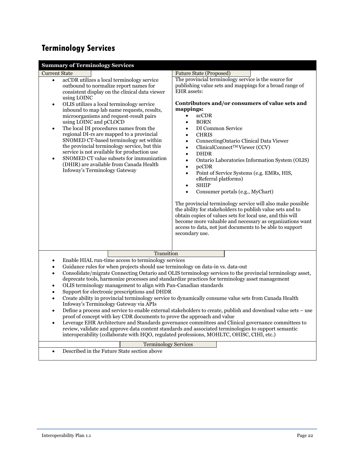# <span id="page-22-0"></span>**Terminology Services**

| <b>Summary of Terminology Services</b>                                                                                                                                                                                                                                                                                                                                                                                                                                                                                                                                                                                                                                                                                                                                                                                                                                                                                                                                                                                                                                                                                                                                                                                                          |                                                                                                                                                                                                                                                                                                                                                                                                                                                                                                                                                                                                                                                                                                                                                                                                                                                                                                                                                                                                                                                                                  |  |
|-------------------------------------------------------------------------------------------------------------------------------------------------------------------------------------------------------------------------------------------------------------------------------------------------------------------------------------------------------------------------------------------------------------------------------------------------------------------------------------------------------------------------------------------------------------------------------------------------------------------------------------------------------------------------------------------------------------------------------------------------------------------------------------------------------------------------------------------------------------------------------------------------------------------------------------------------------------------------------------------------------------------------------------------------------------------------------------------------------------------------------------------------------------------------------------------------------------------------------------------------|----------------------------------------------------------------------------------------------------------------------------------------------------------------------------------------------------------------------------------------------------------------------------------------------------------------------------------------------------------------------------------------------------------------------------------------------------------------------------------------------------------------------------------------------------------------------------------------------------------------------------------------------------------------------------------------------------------------------------------------------------------------------------------------------------------------------------------------------------------------------------------------------------------------------------------------------------------------------------------------------------------------------------------------------------------------------------------|--|
| <b>Current State</b><br>acCDR utilizes a local terminology service<br>$\bullet$<br>outbound to normalize report names for<br>consistent display on the clinical data viewer<br>using LOINC<br>OLIS utilizes a local terminology service<br>$\bullet$<br>inbound to map lab name requests, results,<br>microorganisms and request-result pairs<br>using LOINC and pCLOCD<br>The local DI procedures names from the<br>$\bullet$<br>regional DI-rs are mapped to a provincial<br>SNOMED CT-based terminology set within<br>the provincial terminology service, but this<br>service is not available for production use<br>SNOMED CT value subsets for immunization<br>$\bullet$<br>(DHIR) are available from Canada Health<br>Infoway's Terminology Gateway                                                                                                                                                                                                                                                                                                                                                                                                                                                                                       | <b>Future State (Proposed)</b><br>The provincial terminology service is the source for<br>publishing value sets and mappings for a broad range of<br><b>EHR</b> assets:<br>Contributors and/or consumers of value sets and<br>mappings:<br>acCDR<br>$\bullet$<br><b>BORN</b><br>$\bullet$<br>DI Common Service<br>$\bullet$<br><b>CHRIS</b><br>$\bullet$<br>ConnectingOntario Clinical Data Viewer<br>$\bullet$<br>ClinicalConnect™ Viewer (CCV)<br>$\bullet$<br><b>DHDR</b><br>$\bullet$<br>Ontario Laboratories Information System (OLIS)<br>$\bullet$<br>pcCDR<br>$\bullet$<br>Point of Service Systems (e.g. EMRs, HIS,<br>$\bullet$<br>eReferral platforms)<br><b>SHIIP</b><br>$\bullet$<br>Consumer portals (e.g., MyChart)<br>$\bullet$<br>The provincial terminology service will also make possible<br>the ability for stakeholders to publish value sets and to<br>obtain copies of values sets for local use, and this will<br>become more valuable and necessary as organizations want<br>access to data, not just documents to be able to support<br>secondary use. |  |
| Transition<br>Enable HIAL run-time access to terminology services<br>Guidance rules for when projects should use terminology on data-in vs. data-out<br>$\bullet$<br>Consolidate/migrate Connecting Ontario and OLIS terminology services to the provincial terminology asset,<br>$\bullet$<br>deprecate tools, harmonize processes and standardize practices for terminology asset management<br>OLIS terminology management to align with Pan-Canadian standards<br>$\bullet$<br>Support for electronic prescriptions and DHDR<br>$\bullet$<br>Create ability in provincial terminology service to dynamically consume value sets from Canada Health<br>$\bullet$<br>Infoway's Terminology Gateway via APIs<br>Define a process and service to enable external stakeholders to create, publish and download value sets - use<br>$\bullet$<br>proof of concept with key CDR documents to prove the approach and value<br>Leverage EHR Architecture and Standards governance committees and Clinical governance committees to<br>$\bullet$<br>review, validate and approve data content standards and associated terminologies to support semantic<br>interoperability (collaborate with HQO, regulated professions, MOHLTC, OHISC, CIHI, etc.) |                                                                                                                                                                                                                                                                                                                                                                                                                                                                                                                                                                                                                                                                                                                                                                                                                                                                                                                                                                                                                                                                                  |  |
| <b>Terminology Services</b><br>Described in the Future State section above<br>$\bullet$                                                                                                                                                                                                                                                                                                                                                                                                                                                                                                                                                                                                                                                                                                                                                                                                                                                                                                                                                                                                                                                                                                                                                         |                                                                                                                                                                                                                                                                                                                                                                                                                                                                                                                                                                                                                                                                                                                                                                                                                                                                                                                                                                                                                                                                                  |  |
|                                                                                                                                                                                                                                                                                                                                                                                                                                                                                                                                                                                                                                                                                                                                                                                                                                                                                                                                                                                                                                                                                                                                                                                                                                                 |                                                                                                                                                                                                                                                                                                                                                                                                                                                                                                                                                                                                                                                                                                                                                                                                                                                                                                                                                                                                                                                                                  |  |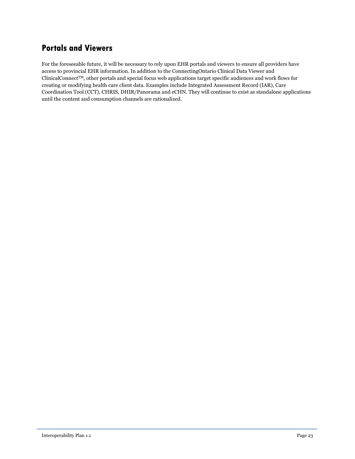### <span id="page-23-0"></span>**Portals and Viewers**

For the foreseeable future, it will be necessary to rely upon EHR portals and viewers to ensure all providers have access to provincial EHR information. In addition to the ConnectingOntario Clinical Data Viewer and ClinicalConnect<sup>TM</sup>, other portals and special focus web applications target specific audiences and work flows for creating or modifying health care client data. Examples include Integrated Assessment Record (IAR), Care Coordination Tool (CCT), CHRIS, DHIR/Panorama and eCHN. They will continue to exist as standalone applications until the content and consumption channels are rationalized.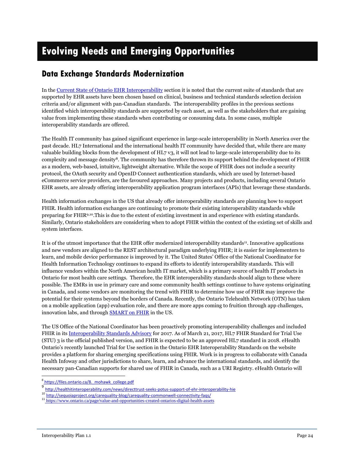# <span id="page-24-0"></span>**Evolving Needs and Emerging Opportunities**

#### <span id="page-24-1"></span>**Data Exchange Standards Modernization**

In the Current State of [Ontario EHR Interoperability](#page-4-2) section it is noted that the current suite of standards that are supported by EHR assets have been chosen based on clinical, business and technical standards selection decision criteria and/or alignment with pan-Canadian standards. The interoperability profiles in the previous sections identified which interoperability standards are supported by each asset, as well as the stakeholders that are gaining value from implementing these standards when contributing or consuming data. In some cases, multiple interoperability standards are offered.

The Health IT community has gained significant experience in large-scale interoperability in North America over the past decade. HL7 International and the international health IT community have decided that, while there are many valuable building blocks from the development of HL7 v3, it will not lead to large-scale interoperability due to its complexity and message density<sup>8</sup>. The community has therefore thrown its support behind the development of FHIR as a modern, web-based, intuitive, lightweight alternative. While the scope of FHIR does not include a security protocol, the OAuth security and OpenID Connect authentication standards, which are used by Internet-based eCommerce service providers, are the favoured approaches. Many projects and products, including several Ontario EHR assets, are already offering interoperability application program interfaces (APIs) that leverage these standards.

Health information exchanges in the US that already offer interoperability standards are planning how to support FHIR. Health information exchanges are continuing to promote their existing interoperability standards while preparing for FHIR9,10.This is due to the extent of existing investment in and experience with existing standards. Similarly, Ontario stakeholders are considering when to adopt FHIR within the context of the existing set of skills and system interfaces.

It is of the utmost importance that the EHR offer modernized interoperability standards<sup>11</sup>. Innovative applications and new vendors are aligned to the REST architectural paradigm underlying FHIR; it is easier for implementers to learn, and mobile device performance is improved by it. The United States' Office of the National Coordinator for Health Information Technology continues to expand its efforts to identify interoperability standards. This will influence vendors within the North American health IT market, which is a primary source of health IT products in Ontario for most health care settings. Therefore, the EHR interoperability standards should align to these where possible. The EMRs in use in primary care and some community health settings continue to have systems originating in Canada, and some vendors are monitoring the trend with FHIR to determine how use of FHIR may improve the potential for their systems beyond the borders of Canada. Recently, the Ontario Telehealth Network (OTN) has taken on a mobile application (app) evaluation role, and there are more apps coming to fruition through app challenges, innovation labs, and through [SMART on FHIR](https://smarthealthit.org/) in the US.

The US Office of the National Coordinator has been proactively promoting interoperability challenges and included FHIR in it[s Interoperability Standards Advisory](https://www.healthit.gov/isa/) for 2017. As of March 21, 2017, HL7 FHIR Standard for Trial Use (STU) 3 is the official published version, and FHIR is expected to be an approved HL7 standard in 2018. eHealth Ontario's recently launched Trial for Use section in the Ontario EHR Interoperability Standards on the website provides a platform for sharing emerging specifications using FHIR. Work is in progress to collaborate with Canada Health Infoway and other jurisdictions to share, learn, and advance the international standards, and identify the necessary pan-Canadian supports for shared use of FHIR in Canada, such as a URI Registry. eHealth Ontario will

l 8 https://files.ontario.ca/8. mohawk college.pdf

<sup>&</sup>lt;sup>9</sup> <http://healthitinteroperability.com/news/directtrust-seeks-potus-support-of-ehr-interoperability-hie>

<sup>10</sup> h[ttp://sequoiaproject.org/carequality-blog/carequality-commonwell-connectivity-faqs/](http://sequoiaproject.org/carequality-blog/carequality-commonwell-connectivity-faqs/)

<sup>11</sup> <https://www.ontario.ca/page/value-and-opportunities-created-ontarios-digital-health-assets>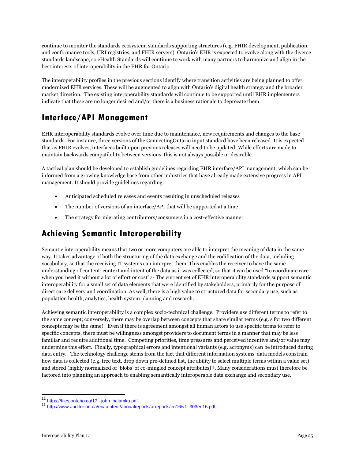continue to monitor the standards ecosystem, standards supporting structures (e.g. FHIR development, publication and conformance tools, URI registries, and FHIR servers). Ontario's EHR is expected to evolve along with the diverse standards landscape, so eHealth Standards will continue to work with many partners to harmonize and align in the best interests of interoperability in the EHR for Ontario.

The interoperability profiles in the previous sections identify where transition activities are being planned to offer modernized EHR services. These will be augmented to align with Ontario's digital health strategy and the broader market direction. The existing interoperability standards will continue to be supported until EHR implementers indicate that these are no longer desired and/or there is a business rationale to deprecate them.

# <span id="page-25-0"></span>**Interface/API Management**

EHR interoperability standards evolve over time due to maintenance, new requirements and changes to the base standards. For instance, three versions of the ConnectingOntario input standard have been released. It is expected that as FHIR evolves, interfaces built upon previous releases will need to be updated. While efforts are made to maintain backwards compatibility between versions, this is not always possible or desirable.

A tactical plan should be developed to establish guidelines regarding EHR interface/API management, which can be informed from a growing knowledge base from other industries that have already made extensive progress in API management. It should provide guidelines regarding:

- Anticipated scheduled releases and events resulting in unscheduled releases
- The number of versions of an interface/API that will be supported at a time
- The strategy for migrating contributors/consumers in a cost-effective manner

# <span id="page-25-1"></span>**Achieving Semantic Interoperability**

Semantic interoperability means that two or more computers are able to interpret the meaning of data in the same way. It takes advantage of both the structuring of the data exchange and the codification of the data, including vocabulary, so that the receiving IT systems can interpret them. This enables the receiver to have the same understanding of content, context and intent of the data as it was collected, so that it can be used "to coordinate care when you need it without a lot of effort or cost". <sup>12</sup> The current set of EHR interoperability standards support semantic interoperability for a small set of data elements that were identified by stakeholders, primarily for the purpose of direct care delivery and coordination. As well, there is a high value to structured data for secondary use, such as population health, analytics, health system planning and research.

Achieving semantic interoperability is a complex socio-technical challenge. Providers use different terms to refer to the same concept; conversely, there may be overlap between concepts that share similar terms (e.g. s for two different concepts may be the same). Even if there is agreement amongst all human actors to use specific terms to refer to specific concepts, there must be willingness amongst providers to document terms in a manner that may be less familiar and require additional time. Competing priorities, time pressures and perceived incentive and/or value may undermine this effort. Finally, typographical errors and intentional variants (e.g. acronyms) can be introduced during data entry. The technology challenge stems from the fact that different information systems' data models constrain how data is collected (e.g. free text, drop down pre-defined list, the ability to select multiple terms within a value set) and stored (highly normalized or 'blobs' of co-mingled concept attributes)<sup>13</sup> . Many considerations must therefore be factored into planning an approach to enabling semantically interoperable data exchange and secondary use.

l

<sup>&</sup>lt;sup>12</sup> https://files.ontario.ca/17. john\_halamka.pdf

<sup>13</sup> [http://www.auditor.on.ca/en/content/annualreports/arreports/en16/v1\\_303en16.pdf](http://www.auditor.on.ca/en/content/annualreports/arreports/en16/v1_303en16.pdf)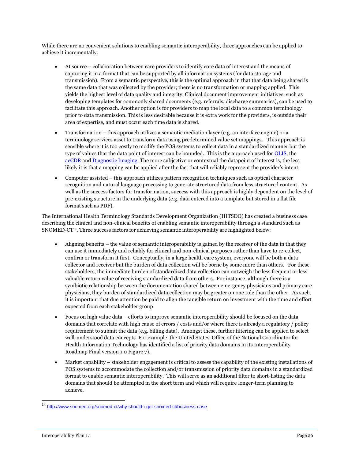While there are no convenient solutions to enabling semantic interoperability, three approaches can be applied to achieve it incrementally:

- At source collaboration between care providers to identify core data of interest and the means of capturing it in a format that can be supported by all information systems (for data storage and transmission). From a semantic perspective, this is the optimal approach in that that data being shared is the same data that was collected by the provider; there is no transformation or mapping applied. This yields the highest level of data quality and integrity. Clinical document improvement initiatives, such as developing templates for commonly shared documents (e.g. referrals, discharge summaries), can be used to facilitate this approach. Another option is for providers to map the local data to a common terminology prior to data transmission. This is less desirable because it is extra work for the providers, is outside their area of expertise, and must occur each time data is shared.
- Transformation this approach utilizes a semantic mediation layer (e.g. an interface engine) or a terminology services asset to transform data using predetermined value set mappings. This approach is sensible where it is too costly to modify the POS systems to collect data in a standardized manner but the type of values that the data point of interest can be bounded. This is the approach used fo[r OLIS,](#page-13-1) the [acCDR](#page-18-1) an[d Diagnostic Imaging.](#page-17-1) The more subjective or contextual the datapoint of interest is, the less likely it is that a mapping can be applied after the fact that will reliably represent the provider's intent.
- Computer assisted this approach utilizes pattern recognition techniques such as optical character recognition and natural language processing to generate structured data from less structured content. As well as the success factors for transformation, success with this approach is highly dependent on the level of pre-existing structure in the underlying data (e.g. data entered into a template but stored in a flat file format such as PDF).

The International Health Terminology Standards Development Organization (IHTSDO) has created a business case describing the clinical and non-clinical benefits of enabling semantic interoperability through a standard such as SNOMED-CT<sup>14</sup>. Three success factors for achieving semantic interoperability are highlighted below:

- Aligning benefits the value of semantic interoperability is gained by the receiver of the data in that they can use it immediately and reliably for clinical and non-clinical purposes rather than have to re-collect, confirm or transform it first. Conceptually, in a large health care system, everyone will be both a data collector and receiver but the burden of data collection will be borne by some more than others. For these stakeholders, the immediate burden of standardized data collection can outweigh the less frequent or less valuable return value of receiving standardized data from others. For instance, although there is a symbiotic relationship between the documentation shared between emergency physicians and primary care physicians, they burden of standardized data collection may be greater on one role than the other. As such, it is important that due attention be paid to align the tangible return on investment with the time and effort expected from each stakeholder group
- Focus on high value data efforts to improve semantic interoperability should be focused on the data domains that correlate with high cause of errors / costs and/or where there is already a regulatory / policy requirement to submit the data (e.g. billing data). Amongst these, further filtering can be applied to select well-understood data concepts. For example, the United States' Office of the National Coordinator for Health Information Technology has identified a list of priority data domains in its Interoperability Roadmap Final version 1.0 Figure 7).
- Market capability stakeholder engagement is critical to assess the capability of the existing installations of POS systems to accommodate the collection and/or transmission of priority data domains in a standardized format to enable semantic interoperability. This will serve as an additional filter to short-listing the data domains that should be attempted in the short term and which will require longer-term planning to achieve.

 $\overline{\phantom{a}}$ 

<sup>&</sup>lt;sup>14</sup> <http://www.snomed.org/snomed-ct/why-should-i-get-snomed-ct/business-case>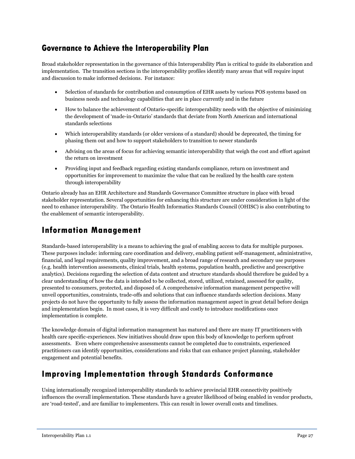#### <span id="page-27-0"></span>**Governance to Achieve the Interoperability Plan**

Broad stakeholder representation in the governance of this Interoperability Plan is critical to guide its elaboration and implementation. The transition sections in the interoperability profiles identify many areas that will require input and discussion to make informed decisions. For instance:

- Selection of standards for contribution and consumption of EHR assets by various POS systems based on business needs and technology capabilities that are in place currently and in the future
- How to balance the achievement of Ontario-specific interoperability needs with the objective of minimizing the development of 'made-in-Ontario' standards that deviate from North American and international standards selections
- Which interoperability standards (or older versions of a standard) should be deprecated, the timing for phasing them out and how to support stakeholders to transition to newer standards
- Advising on the areas of focus for achieving semantic interoperability that weigh the cost and effort against the return on investment
- Providing input and feedback regarding existing standards compliance, return on investment and opportunities for improvement to maximize the value that can be realized by the health care system through interoperability

Ontario already has an EHR Architecture and Standards Governance Committee structure in place with broad stakeholder representation. Several opportunities for enhancing this structure are under consideration in light of the need to enhance interoperability. The Ontario Health Informatics Standards Council (OHISC) is also contributing to the enablement of semantic interoperability.

# <span id="page-27-1"></span>**Information Management**

Standards-based interoperability is a means to achieving the goal of enabling access to data for multiple purposes. These purposes include: informing care coordination and delivery, enabling patient self-management, administrative, financial, and legal requirements, quality improvement, and a broad range of research and secondary use purposes (e.g. health intervention assessments, clinical trials, health systems, population health, predictive and prescriptive analytics). Decisions regarding the selection of data content and structure standards should therefore be guided by a clear understanding of how the data is intended to be collected, stored, utilized, retained, assessed for quality, presented to consumers, protected, and disposed of. A comprehensive information management perspective will unveil opportunities, constraints, trade-offs and solutions that can influence standards selection decisions. Many projects do not have the opportunity to fully assess the information management aspect in great detail before design and implementation begin. In most cases, it is very difficult and costly to introduce modifications once implementation is complete.

The knowledge domain of digital information management has matured and there are many IT practitioners with health care specific-experiences. New initiatives should draw upon this body of knowledge to perform upfront assessments. Even where comprehensive assessments cannot be completed due to constraints, experienced practitioners can identify opportunities, considerations and risks that can enhance project planning, stakeholder engagement and potential benefits.

### <span id="page-27-2"></span>**Improving Implementation through Standards Conformance**

Using internationally recognized interoperability standards to achieve provincial EHR connectivity positively influences the overall implementation. These standards have a greater likelihood of being enabled in vendor products, are 'road-tested', and are familiar to implementers. This can result in lower overall costs and timelines.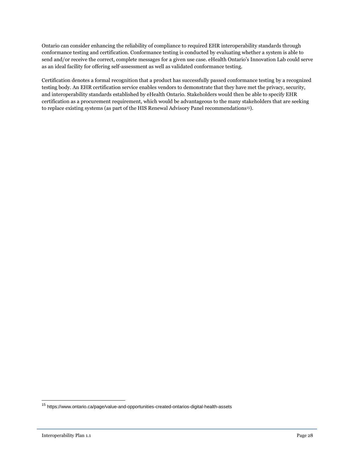Ontario can consider enhancing the reliability of compliance to required EHR interoperability standards through conformance testing and certification. Conformance testing is conducted by evaluating whether a system is able to send and/or receive the correct, complete messages for a given use case. eHealth Ontario's Innovation Lab could serve as an ideal facility for offering self-assessment as well as validated conformance testing.

Certification denotes a formal recognition that a product has successfully passed conformance testing by a recognized testing body. An EHR certification service enables vendors to demonstrate that they have met the privacy, security, and interoperability standards established by eHealth Ontario. Stakeholders would then be able to specify EHR certification as a procurement requirement, which would be advantageous to the many stakeholders that are seeking to replace existing systems (as part of the HIS Renewal Advisory Panel recommendations<sup>15</sup>).

 $\overline{\phantom{a}}$ 

<sup>&</sup>lt;sup>15</sup> https://www.ontario.ca/page/value-and-opportunities-created-ontarios-digital-health-assets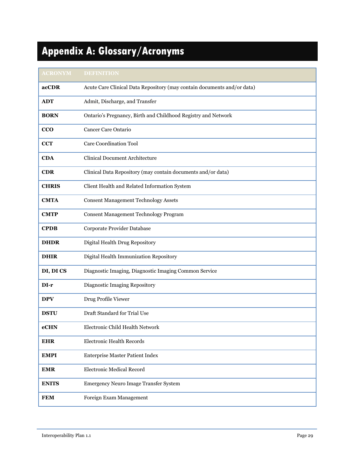# <span id="page-29-0"></span>**Appendix A: Glossary/Acronyms**

| <b>ACRONYM</b> | <b>DEFINITION</b>                                                       |
|----------------|-------------------------------------------------------------------------|
| acCDR          | Acute Care Clinical Data Repository (may contain documents and/or data) |
| <b>ADT</b>     | Admit, Discharge, and Transfer                                          |
| <b>BORN</b>    | Ontario's Pregnancy, Birth and Childhood Registry and Network           |
| CCO            | Cancer Care Ontario                                                     |
| <b>CCT</b>     | <b>Care Coordination Tool</b>                                           |
| <b>CDA</b>     | <b>Clinical Document Architecture</b>                                   |
| <b>CDR</b>     | Clinical Data Repository (may contain documents and/or data)            |
| <b>CHRIS</b>   | Client Health and Related Information System                            |
| <b>CMTA</b>    | <b>Consent Management Technology Assets</b>                             |
| <b>CMTP</b>    | Consent Management Technology Program                                   |
| <b>CPDB</b>    | Corporate Provider Database                                             |
| <b>DHDR</b>    | Digital Health Drug Repository                                          |
| <b>DHIR</b>    | Digital Health Immunization Repository                                  |
| DI, DI CS      | Diagnostic Imaging, Diagnostic Imaging Common Service                   |
| DI-r           | Diagnostic Imaging Repository                                           |
| <b>DPV</b>     | Drug Profile Viewer                                                     |
| <b>DSTU</b>    | Draft Standard for Trial Use                                            |
| eCHN           | Electronic Child Health Network                                         |
| <b>EHR</b>     | <b>Electronic Health Records</b>                                        |
| <b>EMPI</b>    | <b>Enterprise Master Patient Index</b>                                  |
| <b>EMR</b>     | <b>Electronic Medical Record</b>                                        |
| <b>ENITS</b>   | Emergency Neuro Image Transfer System                                   |
| <b>FEM</b>     | Foreign Exam Management                                                 |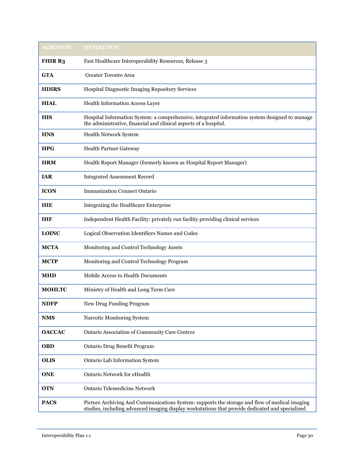| <b>ACRONYM</b> | <b>DEFINITION</b>                                                                                                                                                                                |
|----------------|--------------------------------------------------------------------------------------------------------------------------------------------------------------------------------------------------|
| <b>FHIR R3</b> | Fast Healthcare Interoperability Resources, Release 3                                                                                                                                            |
| <b>GTA</b>     | <b>Greater Toronto Area</b>                                                                                                                                                                      |
| <b>HDIRS</b>   | Hospital Diagnostic Imaging Repository Services                                                                                                                                                  |
| <b>HIAL</b>    | Health Information Access Layer                                                                                                                                                                  |
| <b>HIS</b>     | Hospital Information System: a comprehensive, integrated information system designed to manage<br>the administrative, financial and clinical aspects of a hospital.                              |
| <b>HNS</b>     | Health Network System                                                                                                                                                                            |
| <b>HPG</b>     | <b>Health Partner Gateway</b>                                                                                                                                                                    |
| <b>HRM</b>     | Health Report Manager (formerly known as Hospital Report Manager)                                                                                                                                |
| <b>IAR</b>     | <b>Integrated Assessment Record</b>                                                                                                                                                              |
| <b>ICON</b>    | <b>Immunization Connect Ontario</b>                                                                                                                                                              |
| THE            | Integrating the Healthcare Enterprise                                                                                                                                                            |
| <b>IHF</b>     | Independent Health Facility: privately run facility providing clinical services                                                                                                                  |
| <b>LOINC</b>   | Logical Observation Identifiers Names and Codes                                                                                                                                                  |
| <b>MCTA</b>    | Monitoring and Control Technology Assets                                                                                                                                                         |
| <b>MCTP</b>    | Monitoring and Control Technology Program                                                                                                                                                        |
| <b>MHD</b>     | Mobile Access to Health Documents                                                                                                                                                                |
| <b>MOHLTC</b>  | Ministry of Health and Long Term Care                                                                                                                                                            |
| <b>NDFP</b>    | New Drug Funding Program                                                                                                                                                                         |
| <b>NMS</b>     | Narcotic Monitoring System                                                                                                                                                                       |
| <b>OACCAC</b>  | Ontario Association of Community Care Centres                                                                                                                                                    |
| OBD            | Ontario Drug Benefit Program                                                                                                                                                                     |
| <b>OLIS</b>    | Ontario Lab Information System                                                                                                                                                                   |
| <b>ONE</b>     | <b>Ontario Network for eHealth</b>                                                                                                                                                               |
| <b>OTN</b>     | Ontario Telemedicine Network                                                                                                                                                                     |
| <b>PACS</b>    | Picture Archiving And Communications System: supports the storage and flow of medical imaging<br>studies, including advanced imaging display workstations that provide dedicated and specialized |